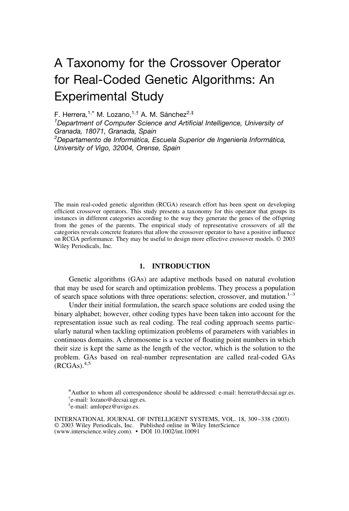# A Taxonomy for the Crossover Operator for Real-Coded Genetic Algorithms: An Experimental Study

F. Herrera,<sup>1,\*</sup> M. Lozano,<sup>1,†</sup> A. M. Sánchez<sup>2,‡</sup>

*1 Department of Computer Science and Artificial Intelligence, University of Granada, 18071, Granada, Spain* <sup>2</sup>Departamento de Informática, Escuela Superior de Ingeniería Informática, *University of Vigo, 32004, Orense, Spain*

The main real-coded genetic algorithm (RCGA) research effort has been spent on developing efficient crossover operators. This study presents a taxonomy for this operator that groups its instances in different categories according to the way they generate the genes of the offspring from the genes of the parents. The empirical study of representative crossovers of all the categories reveals concrete features that allow the crossover operator to have a positive influence on RCGA performance. They may be useful to design more effective crossover models. © 2003 Wiley Periodicals, Inc.

#### **1. INTRODUCTION**

Genetic algorithms (GAs) are adaptive methods based on natural evolution that may be used for search and optimization problems. They process a population of search space solutions with three operations: selection, crossover, and mutation.<sup>1–3</sup>

Under their initial formulation, the search space solutions are coded using the binary alphabet; however, other coding types have been taken into account for the representation issue such as real coding. The real coding approach seems particularly natural when tackling optimization problems of parameters with variables in continuous domains. A chromosome is a vector of floating point numbers in which their size is kept the same as the length of the vector, which is the solution to the problem. GAs based on real-number representation are called real-coded GAs  $(RCGAs).<sup>4,5</sup>$ 

<sup>\*</sup>Author to whom all correspondence should be addressed: e-mail: herrera@decsai.ugr.es. † e-mail: lozano@decsai.ugr.es.

<sup>‡</sup> e-mail: amlopez@uvigo.es.

INTERNATIONAL JOURNAL OF INTELLIGENT SYSTEMS, VOL. 18, 309–338 (2003) © 2003 Wiley Periodicals, Inc. Published online in Wiley InterScience (www.interscience.wiley.com). • DOI 10.1002/int.10091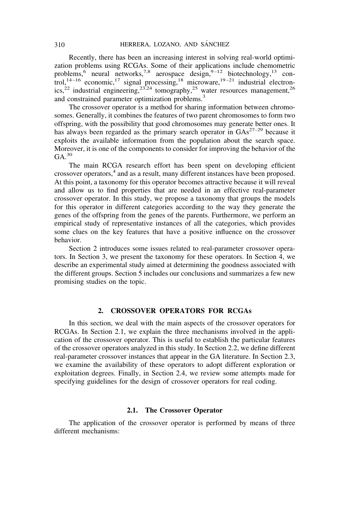Recently, there has been an increasing interest in solving real-world optimization problems using RCGAs. Some of their applications include chemometric problems,<sup>6</sup> neural networks,<sup>7,8</sup> aerospace design,<sup>9-12</sup> biotechnology,<sup>13</sup> control,<sup>14–16</sup> economic,<sup>17</sup> signal processing,<sup>18</sup> microware,<sup>19–21</sup> industrial electronics,<sup>22</sup> industrial engineering,<sup>23,24</sup> tomography,<sup>25</sup> water resources management,<sup>26</sup> and constrained parameter optimization problems.<sup>3</sup>

The crossover operator is a method for sharing information between chromosomes. Generally, it combines the features of two parent chromosomes to form two offspring, with the possibility that good chromosomes may generate better ones. It has always been regarded as the primary search operator in  $GAs^{27-29}$  because it exploits the available information from the population about the search space. Moreover, it is one of the components to consider for improving the behavior of the  $GA.<sup>30</sup>$ 

The main RCGA research effort has been spent on developing efficient crossover operators,<sup>4</sup> and as a result, many different instances have been proposed. At this point, a taxonomy for this operator becomes attractive because it will reveal and allow us to find properties that are needed in an effective real-parameter crossover operator. In this study, we propose a taxonomy that groups the models for this operator in different categories according to the way they generate the genes of the offspring from the genes of the parents. Furthermore, we perform an empirical study of representative instances of all the categories, which provides some clues on the key features that have a positive influence on the crossover behavior.

Section 2 introduces some issues related to real-parameter crossover operators. In Section 3, we present the taxonomy for these operators. In Section 4, we describe an experimental study aimed at determining the goodness associated with the different groups. Section 5 includes our conclusions and summarizes a few new promising studies on the topic.

#### **2. CROSSOVER OPERATORS FOR RCGAs**

In this section, we deal with the main aspects of the crossover operators for RCGAs. In Section 2.1, we explain the three mechanisms involved in the application of the crossover operator. This is useful to establish the particular features of the crossover operators analyzed in this study. In Section 2.2, we define different real-parameter crossover instances that appear in the GA literature. In Section 2.3, we examine the availability of these operators to adopt different exploration or exploitation degrees. Finally, in Section 2.4, we review some attempts made for specifying guidelines for the design of crossover operators for real coding.

#### **2.1. The Crossover Operator**

The application of the crossover operator is performed by means of three different mechanisms: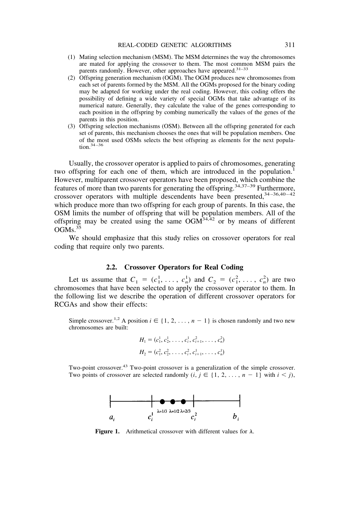- (1) Mating selection mechanism (MSM). The MSM determines the way the chromosomes are mated for applying the crossover to them. The most common MSM pairs the parents randomly. However, other approaches have appeared.<sup>31-33</sup>
- (2) Offspring generation mechanism (OGM). The OGM produces new chromosomes from each set of parents formed by the MSM. All the OGMs proposed for the binary coding may be adapted for working under the real coding. However, this coding offers the possibility of defining a wide variety of special OGMs that take advantage of its numerical nature. Generally, they calculate the value of the genes corresponding to each position in the offspring by combing numerically the values of the genes of the parents in this position.
- (3) Offspring selection mechanisms (OSM). Between all the offspring generated for each set of parents, this mechanism chooses the ones that will be population members. One of the most used OSMs selects the best offspring as elements for the next population.34–36

Usually, the crossover operator is applied to pairs of chromosomes, generating two offspring for each one of them, which are introduced in the population.<sup>1</sup> However, multiparent crossover operators have been proposed, which combine the features of more than two parents for generating the offspring.<sup>34,37–39</sup> Furthermore, crossover operators with multiple descendents have been presented, 34-36,40-42 which produce more than two offspring for each group of parents. In this case, the OSM limits the number of offspring that will be population members. All of the offspring may be created using the same  $OGM^{34,42}$  or by means of different  $OGMs.<sup>35</sup>$ 

We should emphasize that this study relies on crossover operators for real coding that require only two parents.

#### **2.2. Crossover Operators for Real Coding**

Let us assume that  $C_1 = (c_1^1, \ldots, c_n^1)$  and  $C_2 = (c_1^2, \ldots, c_n^2)$  are two chromosomes that have been selected to apply the crossover operator to them. In the following list we describe the operation of different crossover operators for RCGAs and show their effects:

Simple crossover.<sup>1,2</sup> A position  $i \in \{1, 2, ..., n-1\}$  is chosen randomly and two new chromosomes are built:

$$
H_1 = (c_1^1, c_2^1, \dots, c_i^1, c_{i+1}^2, \dots, c_n^2)
$$
  

$$
H_2 = (c_1^2, c_2^2, \dots, c_i^2, c_{i+1}^1, \dots, c_n^1)
$$

Two-point crossover.<sup>43</sup> Two-point crossover is a generalization of the simple crossover. Two points of crossover are selected randomly  $(i, j \in \{1, 2, ..., n-1\}$  with  $i < j$ ,



**Figure 1.** Arithmetical crossover with different values for  $\lambda$ .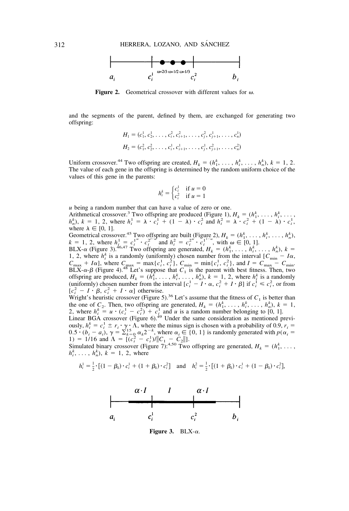

**Figure 2.** Geometrical crossover with different values for  $\omega$ .

and the segments of the parent, defined by them, are exchanged for generating two offspring:

$$
H_1 = (c_1^1, c_2^1, \dots, c_i^2, c_{i+1}^2, \dots, c_j^2, c_{j+1}^1, \dots, c_n^1)
$$
  

$$
H_2 = (c_1^2, c_2^2, \dots, c_i^1, c_{i+1}^1, \dots, c_j^1, c_{j+1}^2, \dots, c_n^2)
$$

Uniform crossover.<sup>44</sup> Two offspring are created,  $H_k = (h_1^k, \ldots, h_i^k, \ldots, h_n^k), k = 1, 2$ . The value of each gene in the offspring is determined by the random uniform choice of the values of this gene in the parents:

$$
h_i^k = \begin{cases} c_i^1 & \text{if } u = 0\\ c_i^2 & \text{if } u = 1 \end{cases}
$$

*u* being a random number that can have a value of zero or one.

Arithmetical crossover.<sup>3</sup> Two offspring are produced (Figure 1),  $H_k = (h_1^k, \ldots, h_i^k, \ldots)$  $h_n^k$ ,  $k = 1, 2$ , where  $h_i^1 = \lambda \cdot c_i^1 + (1 - \lambda) \cdot c_i^2$  and  $h_i^2 = \lambda \cdot c_i^2 + (1 - \lambda) \cdot c_i^1$ , where  $\lambda \in [0, 1]$ .

Geometrical crossover.<sup>45</sup> Two offspring are built (Figure 2),  $H_k = (h_1^k, \ldots, h_i^k, \ldots, h_n^k)$  $k = 1, 2$ , where  $h_i^1 = c_i^{1^{\omega}} \cdot c_i^{2^{1-\omega}}$  and  $h_i^2 = c_i^{2^{\omega}} \cdot c_i^{1^{1-\omega}}$ , with  $\omega \in [0, 1]$ .<br>BLX- $\alpha$  (Figure 3).<sup>46,47</sup> Two offspring are generated,  $H_k = (h_1^k, \ldots, h_i^k, \ldots, h_n^k)$ ,  $k =$ 

1, 2, where  $h_i^k$  is a randomly (uniformly) chosen number from the interval  $[C_{\min}^m - I\alpha,$  $C_{\text{max}} + I\alpha$ ], where  $C_{\text{max}} = \max\{c_i^1, c_i^2\}$ ,  $C_{\text{min}} = \min\{c_i^1, c_i^2\}$ , and  $I = C_{\text{max}} - C_{\text{min}}$ .<br>BLX- $\alpha$ - $\beta$  (Figure 4).<sup>48</sup> Let's suppose that  $C_1$  is the parent with best fitness. Then, two offspring are produced,  $H_k = (\dot{h}_1^k, \ldots, h_i^k, \ldots, h_n^k), k = 1, 2$ , where  $h_i^k$  is a randomly (uniformly) chosen number from the interval  $[c_i^1 - I \cdot \alpha, c_i^2 + I \cdot \beta]$  if  $c_i^1 \leq c_i^2$ , or from  $[c_i^2 - I \cdot \beta, c_i^2 + I \cdot \alpha]$  otherwise.

Wright's heuristic crossover (Figure 5).<sup>36</sup> Let's assume that the fitness of  $C_1$  is better than the one of  $C_2$ . Then, two offspring are generated,  $H_k = (h_1^k, \ldots, h_i^k, \ldots, h_n^k), k = 1$ , 2, where  $h_i^k = u \cdot (c_i^1 - c_i^2) + c_i^1$  and *u* is a random number belonging to [0, 1].

Linear BGA crossover (Figure 6).<sup>49</sup> Under the same consideration as mentioned previously,  $h_i^k = c_i^1 \pm r_i \cdot \gamma \cdot \Lambda$ , where the minus sign is chosen with a probability of 0.9,  $r_i =$  $(0.5 \cdot (b_i - a_i), \gamma = \sum_{k=0}^{15} \alpha_k 2^{-k}$ , where  $\alpha_i \in \{0, 1\}$  is randomly generated with  $p(\alpha_i = 1)$ 1) = 1/16 and  $\Lambda = [(\overline{c_i^2} - c_i^1)/||C_1 - \overline{c_2}||].$ 

Simulated binary crossover (Figure 7):<sup>4,50</sup> Two offspring are generated,  $H_k = (h_1^k, \ldots, h_k^k)$  $h_i^k$ , ...,  $h_n^k$ ),  $k = 1, 2$ , where

$$
h_i^1 = \frac{1}{2} \cdot [(1 - \beta_k) \cdot c_i^1 + (1 + \beta_k) \cdot c_i^2] \quad \text{and} \quad h_i^2 = \frac{1}{2} \cdot [(1 + \beta_k) \cdot c_i^1 + (1 - \beta_k) \cdot c_i^2],
$$



**Figure 3.** BLX- $\alpha$ .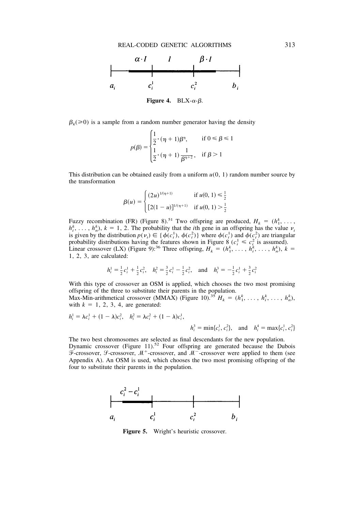

**Figure 4.** BLX- $\alpha$ - $\beta$ .

 $\beta_k$ ( $\geq$ 0) is a sample from a random number generator having the density

$$
p(\beta) = \begin{cases} \frac{1}{2} \cdot (\eta + 1)\beta^{\eta}, & \text{if } 0 \le \beta \le 1 \\ \frac{1}{2} \cdot (\eta + 1)\frac{1}{\beta^{\eta+2}}, & \text{if } \beta > 1 \end{cases}
$$

This distribution can be obtained easily from a uniform  $u(0, 1)$  random number source by the transformation

$$
\beta(u) = \begin{cases}\n(2u)^{1/(\eta+1)} & \text{if } u(0, 1) \leq \frac{1}{2} \\
[2(1-u)]^{1/(\eta+1)} & \text{if } u(0, 1) > \frac{1}{2}\n\end{cases}
$$

Fuzzy recombination (FR) (Figure 8).<sup>51</sup> Two offspring are produced,  $H_k = (h_1^k, \ldots, h_k^k)$  $h_i^k$ , ...,  $h_n^k$ ),  $k = 1, 2$ . The probability that the *i*th gene in an offspring has the value  $\nu_i$ is given by the distribution  $p(\nu_i) \in \{\phi(c_i^1), \phi(c_i^2)\}\$  where  $\phi(c_i^1)$  and  $\phi(c_i^2)$  are triangular probability distributions having the features shown in Figure 8  $(c_i^1 \leq c_i^2)$  is assumed). Linear crossover (LX) (Figure 9):<sup>36</sup> Three offspring,  $H_k = (h_1^k, \ldots, h_i^k, \ldots, h_n^k), k =$ 1, 2, 3, are calculated:

$$
h_i^1 = \frac{1}{2}c_i^1 + \frac{1}{2}c_i^2, \quad h_i^2 = \frac{3}{2}c_i^1 - \frac{1}{2}c_i^2, \quad \text{and} \quad h_i^3 = -\frac{1}{2}c_i^1 + \frac{3}{2}c_i^2
$$

With this type of crossover an OSM is applied, which chooses the two most promising offspring of the three to substitute their parents in the population.<br>Max-Min-arithmetical crossover (MMAX) (Figure 10).<sup>35</sup>  $H_k = (h_1^k, \ldots, h_i^k, \ldots, h_n^k)$ ,

with  $k = 1, 2, 3, 4$ , are generated:

$$
h_i^1 = \lambda c_i^1 + (1 - \lambda)c_i^2, \quad h_i^2 = \lambda c_i^2 + (1 - \lambda)c_i^1,
$$
  

$$
h_i^3 = \min\{c_i^1, c_i^2\}, \quad \text{and} \quad h_i^4 = \max\{c_i^1, c_i^2\}
$$

The two best chromosomes are selected as final descendants for the new population. Dynamic crossover (Figure 11).<sup>52</sup> Four offspring are generated because the Dubois  $\overline{\mathcal{F}}$ -crossover,  $\mathcal{F}$ -crossover,  $\mathcal{M}^+$ -crossover, and  $\mathcal{M}^-$ -crossover were applied to them (see Appendix A). An OSM is used, which chooses the two most promising offspring of the four to substitute their parents in the population.



**Figure 5.** Wright's heuristic crossover.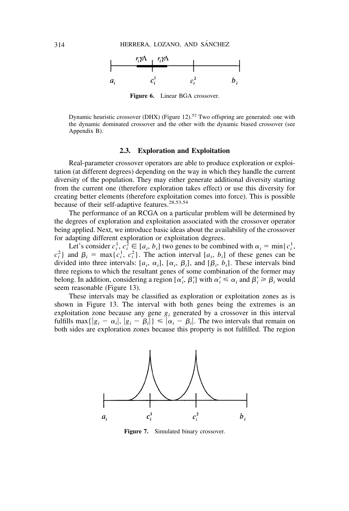

**Figure 6.** Linear BGA crossover.

Dynamic heuristic crossover (DHX) (Figure 12).<sup>52</sup> Two offspring are generated: one with the dynamic dominated crossover and the other with the dynamic biased crossover (see Appendix B).

#### **2.3. Exploration and Exploitation**

Real-parameter crossover operators are able to produce exploration or exploitation (at different degrees) depending on the way in which they handle the current diversity of the population. They may either generate additional diversity starting from the current one (therefore exploration takes effect) or use this diversity for creating better elements (therefore exploitation comes into force). This is possible because of their self-adaptive features.<sup>28,53,54</sup>

The performance of an RCGA on a particular problem will be determined by the degrees of exploration and exploitation associated with the crossover operator being applied. Next, we introduce basic ideas about the availability of the crossover for adapting different exploration or exploitation degrees.

Let's consider  $c_i^1$ ,  $c_i^2 \in [a_i, b_i]$  two genes to be combined with  $\alpha_i = \min\{c_i^1, c_i^2\}$  $c_i^2$ } and  $\beta_i = \max\{c_i^1, c_i^2\}$ . The action interval  $[a_i, b_i]$  of these genes can be divided into three intervals:  $[a_i, \alpha_i]$ ,  $[\alpha_i, \beta_i]$ , and  $[\beta_i, b_i]$ . These intervals bind three regions to which the resultant genes of some combination of the former may belong. In addition, considering a region  $[\alpha'_i, \beta'_i]$  with  $\alpha'_i \leq \alpha_i$  and  $\beta'_i \geq \beta_i$  would seem reasonable (Figure 13).

These intervals may be classified as exploration or exploitation zones as is shown in Figure 13. The interval with both genes being the extremes is an exploitation zone because any gene  $g_i$  generated by a crossover in this interval fulfills max $\{|g_i - \alpha_i|, |g_i - \beta_i|\} \leq |\alpha_i - \beta_i|$ . The two intervals that remain on both sides are exploration zones because this property is not fulfilled. The region



**Figure 7.** Simulated binary crossover.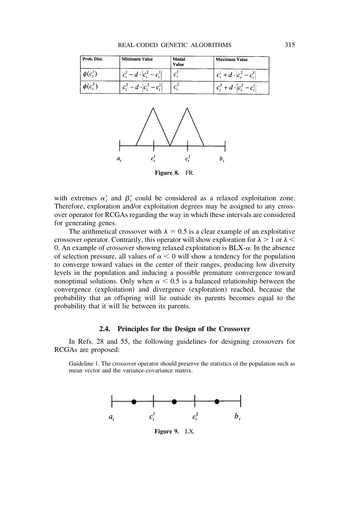| Prob. Dist.   | <b>Minimum Value</b>               | Modal<br><b>Value</b> | <b>Maximum Value</b>               |
|---------------|------------------------------------|-----------------------|------------------------------------|
| $\phi(c_i^1)$ | $ c_i^1 - d \cdot  c_i^2 - c_i^1 $ |                       | $ c_i^1 + d \cdot  c_i^2 - c_i^1 $ |
| $\phi(c_i^2)$ | $ c_i^2 - d \cdot  c_i^2 - c_i^1 $ |                       | $ c_i^2 + d \cdot  c_i^2 - c_i^1 $ |



with extremes  $\alpha'_i$  and  $\beta'_i$  could be considered as a relaxed exploitation zone. Therefore, exploration and/or exploitation degrees may be assigned to any crossover operator for RCGAs regarding the way in which these intervals are considered for generating genes.

The arithmetical crossover with  $\lambda = 0.5$  is a clear example of an exploitative crossover operator. Contrarily, this operator will show exploration for  $\lambda > 1$  or  $\lambda <$ 0. An example of crossover showing relaxed exploitation is  $BLX-\alpha$ . In the absence of selection pressure, all values of  $\alpha < 0$  will show a tendency for the population to converge toward values in the center of their ranges, producing low diversity levels in the population and inducing a possible premature convergence toward nonoptimal solutions. Only when  $\alpha$  < 0.5 is a balanced relationship between the convergence (exploitation) and divergence (exploration) reached, because the probability that an offspring will lie outside its parents becomes equal to the probability that it will lie between its parents.

#### **2.4. Principles for the Design of the Crossover**

In Refs. 28 and 55, the following guidelines for designing crossovers for RCGAs are proposed:

Guideline 1. The crossover operator should preserve the statistics of the population such as mean vector and the variance-covariance matrix.



**Figure 9.** LX.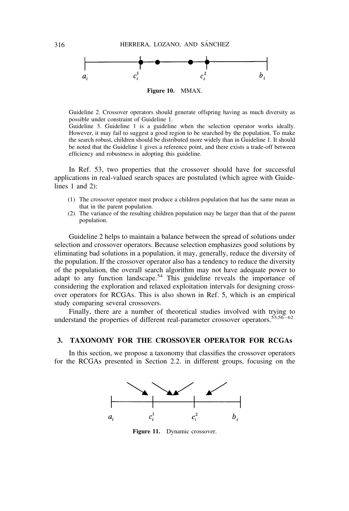

Guideline 2. Crossover operators should generate offspring having as much diversity as possible under constraint of Guideline 1.

Guideline 3. Guideline 1 is a guideline when the selection operator works ideally. However, it may fail to suggest a good region to be searched by the population. To make the search robust, children should be distributed more widely than in Guideline 1. It should be noted that the Guideline 1 gives a reference point, and there exists a trade-off between efficiency and robustness in adopting this guideline.

In Ref. 53, two properties that the crossover should have for successful applications in real-valued search spaces are postulated (which agree with Guidelines 1 and 2):

- (1) The crossover operator must produce a children population that has the same mean as that in the parent population.
- (2) The variance of the resulting children population may be larger than that of the parent population.

Guideline 2 helps to maintain a balance between the spread of solutions under selection and crossover operators. Because selection emphasizes good solutions by eliminating bad solutions in a population, it may, generally, reduce the diversity of the population. If the crossover operator also has a tendency to reduce the diversity of the population, the overall search algorithm may not have adequate power to adapt to any function landscape.<sup>54</sup> This guideline reveals the importance of considering the exploration and relaxed exploitation intervals for designing crossover operators for RCGAs. This is also shown in Ref. 5, which is an empirical study comparing several crossovers.

Finally, there are a number of theoretical studies involved with trying to understand the properties of different real-parameter crossover operators.  $53,56-62$ 

#### **3. TAXONOMY FOR THE CROSSOVER OPERATOR FOR RCGAs**

In this section, we propose a taxonomy that classifies the crossover operators for the RCGAs presented in Section 2.2. in different groups, focusing on the



**Figure 11.** Dynamic crossover.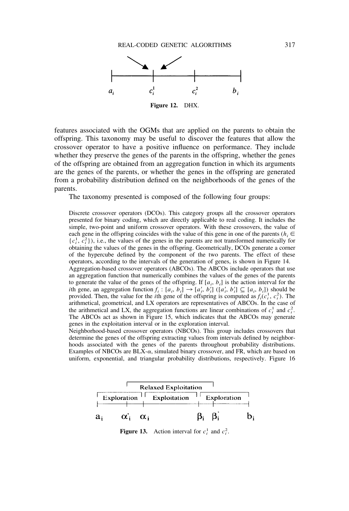

features associated with the OGMs that are applied on the parents to obtain the offspring. This taxonomy may be useful to discover the features that allow the crossover operator to have a positive influence on performance. They include whether they preserve the genes of the parents in the offspring, whether the genes of the offspring are obtained from an aggregation function in which its arguments are the genes of the parents, or whether the genes in the offspring are generated from a probability distribution defined on the neighborhoods of the genes of the parents.

The taxonomy presented is composed of the following four groups:

Discrete crossover operators (DCOs). This category groups all the crossover operators presented for binary coding, which are directly applicable to real coding. It includes the simple, two-point and uniform crossover operators. With these crossovers, the value of each gene in the offspring coincides with the value of this gene in one of the parents ( $h_i \in$  $\{c_i^1, c_i^2\}$ ), i.e., the values of the genes in the parents are not transformed numerically for obtaining the values of the genes in the offspring. Geometrically, DCOs generate a corner of the hypercube defined by the component of the two parents. The effect of these operators, according to the intervals of the generation of genes, is shown in Figure 14.

Aggregation-based crossover operators (ABCOs). The ABCOs include operators that use an aggregation function that numerically combines the values of the genes of the parents to generate the value of the genes of the offspring. If  $[a_i, b_i]$  is the action interval for the *i*th gene, an aggregation function  $f_i : [a_i, b_i] \rightarrow [a'_i, b'_i]$  ( $[a'_i, b'_i] \subseteq [a_i, b_i]$ ) should be provided. Then, the value for the *i*<sup>th</sup> gene of the offspring is computed as  $f_i(c_i^1, c_i^2)$ . The arithmetical, geometrical, and LX operators are representatives of ABCOs. In the case of the arithmetical and LX, the aggregation functions are linear combinations of  $c_i^1$  and  $c_i^2$ . The ABCOs act as shown in Figure 15, which indicates that the ABCOs may generate genes in the exploitation interval or in the exploration interval.

Neighborhood-based crossover operators (NBCOs). This group includes crossovers that determine the genes of the offspring extracting values from intervals defined by neighborhoods associated with the genes of the parents throughout probability distributions. Examples of NBCOs are  $BLX-\alpha$ , simulated binary crossover, and FR, which are based on uniform, exponential, and triangular probability distributions, respectively. Figure 16



**Figure 13.** Action interval for  $c_i^1$  and  $c_i^2$ .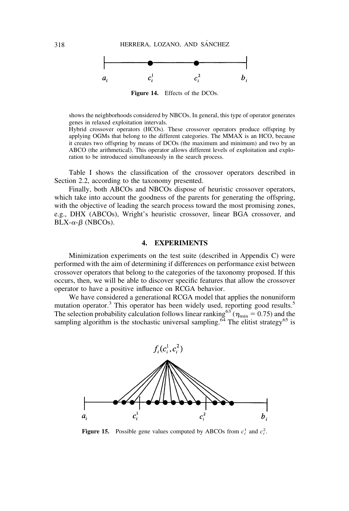

shows the neighborhoods considered by NBCOs. In general, this type of operator generates genes in relaxed exploitation intervals.

Hybrid crossover operators (HCOs). These crossover operators produce offspring by applying OGMs that belong to the different categories. The MMAX is an HCO, because it creates two offspring by means of DCOs (the maximum and minimum) and two by an ABCO (the arithmetical). This operator allows different levels of exploitation and exploration to be introduced simultaneously in the search process.

Table I shows the classification of the crossover operators described in Section 2.2, according to the taxonomy presented.

Finally, both ABCOs and NBCOs dispose of heuristic crossover operators, which take into account the goodness of the parents for generating the offspring, with the objective of leading the search process toward the most promising zones, e.g., DHX (ABCOs), Wright's heuristic crossover, linear BGA crossover, and  $BLX-\alpha-\beta$  (NBCOs).

#### **4. EXPERIMENTS**

Minimization experiments on the test suite (described in Appendix C) were performed with the aim of determining if differences on performance exist between crossover operators that belong to the categories of the taxonomy proposed. If this occurs, then, we will be able to discover specific features that allow the crossover operator to have a positive influence on RCGA behavior.

We have considered a generational RCGA model that applies the nonuniform mutation operator.<sup>3</sup> This operator has been widely used, reporting good results.<sup>5</sup> The selection probability calculation follows linear ranking<sup>63</sup> ( $\eta_{\text{min}} = 0.75$ ) and the sampling algorithm is the stochastic universal sampling.<sup>64</sup> The elitist strategy<sup>65</sup> is



**Figure 15.** Possible gene values computed by ABCOs from  $c_i^1$  and  $c_i^2$ .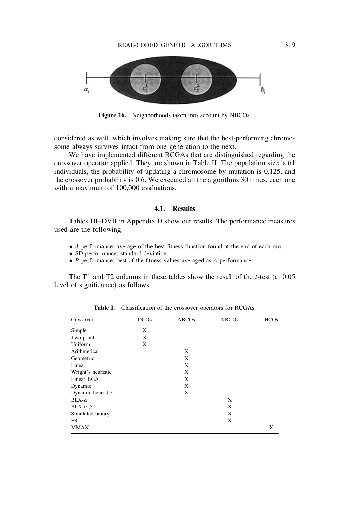

**Figure 16.** Neighborhoods taken into account by NBCOs.

considered as well, which involves making sure that the best-performing chromosome always survives intact from one generation to the next.

We have implemented different RCGAs that are distinguished regarding the crossover operator applied. They are shown in Table II. The population size is 61 individuals, the probability of updating a chromosome by mutation is 0.125, and the crossover probability is 0.6. We executed all the algorithms 30 times, each one with a maximum of 100,000 evaluations.

#### **4.1. Results**

Tables DI–DVII in Appendix D show our results. The performance measures used are the following:

- *A* performance: average of the best-fitness function found at the end of each run.
- SD performance: standard deviation.
- *B* performance: best of the fitness values averaged as *A* performance.

The T1 and T2 columns in these tables show the result of the *t*-test (at 0.05 level of significance) as follows:

| Crossover          | <b>DCOs</b> | ABCOs | <b>NBCOs</b> | <b>HCOs</b> |
|--------------------|-------------|-------|--------------|-------------|
| Simple             | X           |       |              |             |
| Two-point          | X           |       |              |             |
| Uniform            | X           |       |              |             |
| Arithmetical       |             | X     |              |             |
| Geometric          |             | X     |              |             |
| Linear             |             | X     |              |             |
| Wright's heuristic |             | X     |              |             |
| Linear BGA         |             | X     |              |             |
| Dynamic            |             | X     |              |             |
| Dynamic heuristic  |             | X     |              |             |
| $BLX-\alpha$       |             |       | X            |             |
| $BLX-\alpha-\beta$ |             |       | X            |             |
| Simulated binary   |             |       | X            |             |
| <b>FR</b>          |             |       | X            |             |
| <b>MMAX</b>        |             |       |              | X           |

**Table I.** Classification of the crossover operators for RCGAs.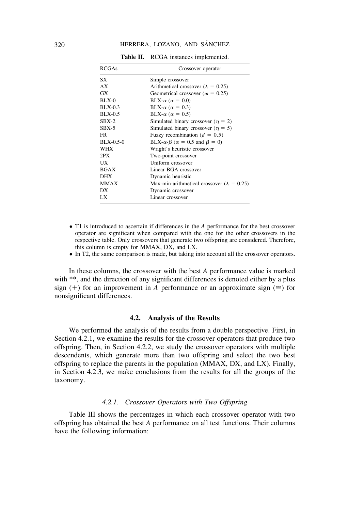#### 320 HERRERA, LOZANO, AND SÁNCHEZ

| <b>RCGAs</b> | Crossover operator                                        |
|--------------|-----------------------------------------------------------|
| SX           | Simple crossover                                          |
| AX           | Arithmetical crossover ( $\lambda = 0.25$ )               |
| GX           | Geometrical crossover ( $\omega = 0.25$ )                 |
| $BLX-0$      | BLX- $\alpha$ ( $\alpha = 0.0$ )                          |
| $BLX-0.3$    | BLX- $\alpha$ ( $\alpha = 0.3$ )                          |
| $BLX-0.5$    | BLX- $\alpha$ ( $\alpha = 0.5$ )                          |
| $SBX-2$      | Simulated binary crossover ( $\eta = 2$ )                 |
| $SBX-5$      | Simulated binary crossover ( $\eta = 5$ )                 |
| FR.          | Fuzzy recombination ( $d = 0.5$ )                         |
| $BLX-0.5-0$  | BLX- $\alpha$ - $\beta$ ( $\alpha$ = 0.5 and $\beta$ = 0) |
| <b>WHX</b>   | Wright's heuristic crossover                              |
| 2PX          | Two-point crossover                                       |
| UX           | Uniform crossover                                         |
| <b>BGAX</b>  | Linear BGA crossover                                      |
| <b>DHX</b>   | Dynamic heuristic                                         |
| <b>MMAX</b>  | Max-min-arithmetical crossover ( $\lambda = 0.25$ )       |
| DX           | Dynamic crossover                                         |
| LX           | Linear crossover                                          |

**Table II.** RCGA instances implemented.

- T1 is introduced to ascertain if differences in the *A* performance for the best crossover operator are significant when compared with the one for the other crossovers in the respective table. Only crossovers that generate two offspring are considered. Therefore, this column is empty for MMAX, DX, and LX.
- In T2, the same comparison is made, but taking into account all the crossover operators.

In these columns, the crossover with the best *A* performance value is marked with \*\*, and the direction of any significant differences is denoted either by a plus sign (+) for an improvement in *A* performance or an approximate sign ( $\cong$ ) for nonsignificant differences.

#### **4.2. Analysis of the Results**

We performed the analysis of the results from a double perspective. First, in Section 4.2.1, we examine the results for the crossover operators that produce two offspring. Then, in Section 4.2.2, we study the crossover operators with multiple descendents, which generate more than two offspring and select the two best offspring to replace the parents in the population (MMAX, DX, and LX). Finally, in Section 4.2.3, we make conclusions from the results for all the groups of the taxonomy.

#### *4.2.1. Crossover Operators with Two Offspring*

Table III shows the percentages in which each crossover operator with two offspring has obtained the best *A* performance on all test functions. Their columns have the following information: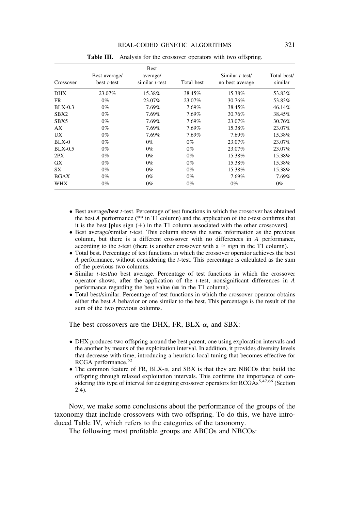|             |                                 | <b>Best</b>                   |            |                                    |                        |
|-------------|---------------------------------|-------------------------------|------------|------------------------------------|------------------------|
| Crossover   | Best average/<br>best $t$ -test | average/<br>similar $t$ -test | Total best | Similar t-test/<br>no best average | Total best/<br>similar |
| <b>DHX</b>  | 23.07%                          | 15.38%                        | 38.45%     | 15.38%                             | 53.83%                 |
| FR.         | $0\%$                           | 23.07%                        | 23.07%     | 30.76%                             | 53.83%                 |
| $BLX-0.3$   | $0\%$                           | 7.69%                         | 7.69%      | 38.45%                             | 46.14%                 |
| SBX2        | $0\%$                           | 7.69%                         | 7.69%      | 30.76%                             | 38.45%                 |
| SBX5        | $0\%$                           | 7.69%                         | 7.69%      | 23.07%                             | 30.76%                 |
| AX          | $0\%$                           | 7.69%                         | 7.69%      | 15.38%                             | 23.07%                 |
| UX          | $0\%$                           | 7.69%                         | 7.69%      | 7.69%                              | 15.38%                 |
| BLX-0       | $0\%$                           | $0\%$                         | $0\%$      | 23.07%                             | 23.07%                 |
| $BLX-0.5$   | $0\%$                           | $0\%$                         | $0\%$      | 23.07%                             | 23.07%                 |
| 2PX         | $0\%$                           | $0\%$                         | $0\%$      | 15.38%                             | 15.38%                 |
| <b>GX</b>   | $0\%$                           | $0\%$                         | $0\%$      | 15.38%                             | 15.38%                 |
| SX          | $0\%$                           | $0\%$                         | $0\%$      | 15.38%                             | 15.38%                 |
| <b>BGAX</b> | $0\%$                           | $0\%$                         | $0\%$      | 7.69%                              | 7.69%                  |
| WHX         | $0\%$                           | $0\%$                         | $0\%$      | $0\%$                              | $0\%$                  |

**Table III.** Analysis for the crossover operators with two offspring.

- Best average/best *t*-test. Percentage of test functions in which the crossover has obtained the best *A* performance (\*\* in T1 column) and the application of the *t*-test confirms that it is the best [plus sign  $(+)$  in the T1 column associated with the other crossovers].
- Best average/similar *t*-test. This column shows the same information as the previous column, but there is a different crossover with no differences in *A* performance, according to the *t*-test (there is another crossover with  $a \approx$  sign in the T1 column).
- Total best. Percentage of test functions in which the crossover operator achieves the best *A* performance, without considering the *t*-test. This percentage is calculated as the sum of the previous two columns.
- Similar *t*-test/no best average. Percentage of test functions in which the crossover operator shows, after the application of the *t*-test, nonsignificant differences in *A* performance regarding the best value ( $\cong$  in the T1 column).
- Total best/similar. Percentage of test functions in which the crossover operator obtains either the best *A* behavior or one similar to the best. This percentage is the result of the sum of the two previous columns.

The best crossovers are the DHX, FR, BLX- $\alpha$ , and SBX:

- DHX produces two offspring around the best parent, one using exploration intervals and the another by means of the exploitation interval. In addition, it provides diversity levels that decrease with time, introducing a heuristic local tuning that becomes effective for RCGA performance.52
- The common feature of FR, BLX- $\alpha$ , and SBX is that they are NBCOs that build the offspring through relaxed exploitation intervals. This confirms the importance of considering this type of interval for designing crossover operators for RCGAs<sup>5,47,66</sup> (Section 2.4).

Now, we make some conclusions about the performance of the groups of the taxonomy that include crossovers with two offspring. To do this, we have introduced Table IV, which refers to the categories of the taxonomy.

The following most profitable groups are ABCOs and NBCOs: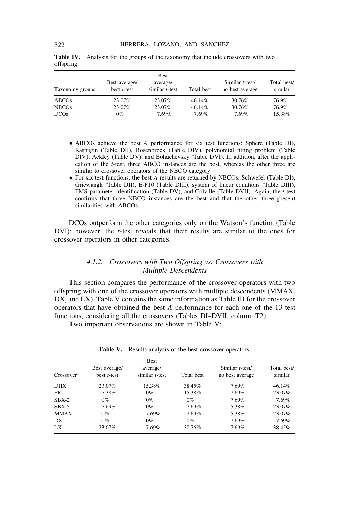| Taxonomy groups | Best average/<br>best $t$ -test | Best<br>average/<br>similar $t$ -test | Total best | Similar t-test/<br>no best average | Total best/<br>similar |
|-----------------|---------------------------------|---------------------------------------|------------|------------------------------------|------------------------|
| ABCOs           | 23.07%                          | 23.07%                                | 46.14%     | 30.76%                             | 76.9%                  |
| <b>NBCOs</b>    | 23.07%                          | 23.07%                                | 46.14%     | 30.76%                             | 76.9%                  |
| <b>DCOs</b>     | $0\%$                           | 7.69%                                 | 7.69%      | 7.69%                              | 15.38%                 |

**Table IV.** Analysis for the groups of the taxonomy that include crossovers with two offspring.

- ABCOs achieve the best *A* performance for six test functions: Sphere (Table DI), Rastrigin (Table DII), Rosenbrock (Table DIV), polynomial fitting problem (Table DIV), Ackley (Table DV), and Bohachevsky (Table DVI). In addition, after the application of the *t*-test, three ABCO instances are the best, whereas the other three are similar to crossover operators of the NBCO category.
- For six test functions, the best *A* results are returned by NBCOs: Schwefel (Table DI), Griewangk (Table DII), E-F10 (Table DIII), system of linear equations (Table DIII), FMS parameter identification (Table DV), and Colville (Table DVII). Again, the *t*-test confirms that three NBCO instances are the best and that the other three present similarities with ABCOs.

DCOs outperform the other categories only on the Watson's function (Table DVI); however, the *t*-test reveals that their results are similar to the ones for crossover operators in other categories.

#### *4.1.2. Crossovers with Two Offspring vs. Crossovers with Multiple Descendents*

This section compares the performance of the crossover operators with two offspring with one of the crossover operators with multiple descendents (MMAX, DX, and LX). Table V contains the same information as Table III for the crossover operators that have obtained the best *A* performance for each one of the 13 test functions, considering all the crossovers (Tables DI–DVII, column T2).

Two important observations are shown in Table V:

| Crossover | Best average/<br>best $t$ -test | <b>Best</b><br>average/<br>similar $t$ -test | Total best | Similar t-test/<br>no best average | Total best/<br>similar |
|-----------|---------------------------------|----------------------------------------------|------------|------------------------------------|------------------------|
| DHX       | 23.07%                          | 15.38%                                       | 38.45%     | 7.69%                              | 46.14%                 |
| FR        | 15.38%                          | $0\%$                                        | 15.38%     | 7.69%                              | 23.07%                 |
| $SBX-2$   | $0\%$                           | $0\%$                                        | $0\%$      | 7.69%                              | 7.69%                  |
| $SBX-5$   | 7.69%                           | $0\%$                                        | 7.69%      | 15.38%                             | 23.07%                 |
| MMAX      | $0\%$                           | 7.69%                                        | 7.69%      | 15.38%                             | 23.07%                 |
| DX        | $0\%$                           | $0\%$                                        | $0\%$      | 7.69%                              | 7.69%                  |
| LX        | 23.07%                          | 7.69%                                        | 30.76%     | 7.69%                              | 38.45%                 |

**Table V.** Results analysis of the best crossover operators.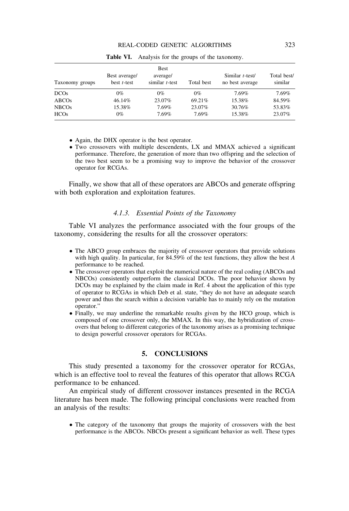| Taxonomy groups   | Best average/<br>best $t$ -test | Best<br>average/<br>similar $t$ -test | Total best | Similar $t$ -test/<br>no best average | Total best/<br>similar |
|-------------------|---------------------------------|---------------------------------------|------------|---------------------------------------|------------------------|
| <b>DCOs</b>       | 0%                              | $0\%$                                 | $0\%$      | 7.69%                                 | 7.69%                  |
| ABCO <sub>s</sub> | 46.14%                          | 23.07%                                | 69.21%     | 15.38%                                | 84.59%                 |
| <b>NBCOs</b>      | 15.38%                          | 7.69%                                 | 23.07%     | 30.76%                                | 53.83%                 |
| <b>HCOs</b>       | 0%                              | 7.69%                                 | 7.69%      | 15.38%                                | 23.07%                 |

**Table VI.** Analysis for the groups of the taxonomy.

• Again, the DHX operator is the best operator.

● Two crossovers with multiple descendents, LX and MMAX achieved a significant performance. Therefore, the generation of more than two offspring and the selection of the two best seem to be a promising way to improve the behavior of the crossover operator for RCGAs.

Finally, we show that all of these operators are ABCOs and generate offspring with both exploration and exploitation features.

#### *4.1.3. Essential Points of the Taxonomy*

Table VI analyzes the performance associated with the four groups of the taxonomy, considering the results for all the crossover operators:

- The ABCO group embraces the majority of crossover operators that provide solutions with high quality. In particular, for 84.59% of the test functions, they allow the best *A* performance to be reached.
- The crossover operators that exploit the numerical nature of the real coding (ABCOs and NBCOs) consistently outperform the classical DCOs. The poor behavior shown by DCOs may be explained by the claim made in Ref. 4 about the application of this type of operator to RCGAs in which Deb et al. state, "they do not have an adequate search power and thus the search within a decision variable has to mainly rely on the mutation operator."
- Finally, we may underline the remarkable results given by the HCO group, which is composed of one crossover only, the MMAX. In this way, the hybridization of crossovers that belong to different categories of the taxonomy arises as a promising technique to design powerful crossover operators for RCGAs.

#### **5. CONCLUSIONS**

This study presented a taxonomy for the crossover operator for RCGAs, which is an effective tool to reveal the features of this operator that allows RCGA performance to be enhanced.

An empirical study of different crossover instances presented in the RCGA literature has been made. The following principal conclusions were reached from an analysis of the results:

• The category of the taxonomy that groups the majority of crossovers with the best performance is the ABCOs. NBCOs present a significant behavior as well. These types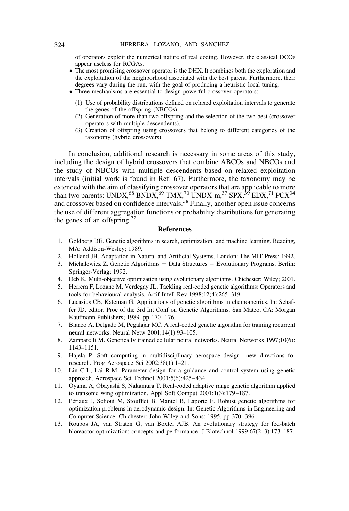of operators exploit the numerical nature of real coding. However, the classical DCOs appear useless for RCGAs.

- The most promising crossover operator is the DHX. It combines both the exploration and the exploitation of the neighborhood associated with the best parent. Furthermore, their degrees vary during the run, with the goal of producing a heuristic local tuning.
- Three mechanisms are essential to design powerful crossover operators:
	- (1) Use of probability distributions defined on relaxed exploitation intervals to generate the genes of the offspring (NBCOs).
	- (2) Generation of more than two offspring and the selection of the two best (crossover operators with multiple descendents).
	- (3) Creation of offspring using crossovers that belong to different categories of the taxonomy (hybrid crossovers).

In conclusion, additional research is necessary in some areas of this study, including the design of hybrid crossovers that combine ABCOs and NBCOs and the study of NBCOs with multiple descendents based on relaxed exploitation intervals (initial work is found in Ref. 67). Furthermore, the taxonomy may be extended with the aim of classifying crossover operators that are applicable to more than two parents: UNDX,<sup>68</sup> BNDX,<sup>69</sup> TMX,<sup>70</sup> UNDX-m,<sup>37</sup> SPX,<sup>39</sup> EDX,<sup>71</sup> PCX<sup>34</sup> and crossover based on confidence intervals.<sup>38</sup> Finally, another open issue concerns the use of different aggregation functions or probability distributions for generating the genes of an offspring.<sup>72</sup>

#### **References**

- 1. Goldberg DE. Genetic algorithms in search, optimization, and machine learning. Reading, MA: Addison-Wesley; 1989.
- 2. Holland JH. Adaptation in Natural and Artificial Systems. London: The MIT Press; 1992.
- 3. Michalewicz Z. Genetic Algorithms  $+$  Data Structures  $=$  Evolutionary Programs. Berlin: Springer-Verlag; 1992.
- 4. Deb K. Multi-objective optimization using evolutionary algorithms. Chichester: Wiley; 2001.
- 5. Herrera F, Lozano M, Verdegay JL. Tackling real-coded genetic algorithms: Operators and tools for behavioural analysis. Artif Intell Rev 1998;12(4):265–319.
- 6. Lucasius CB, Kateman G. Applications of genetic algorithms in chemometrics. In: Schaffer JD, editor. Proc of the 3rd Int Conf on Genetic Algorithms. San Mateo, CA: Morgan Kaufmann Publishers; 1989. pp 170–176.
- 7. Blanco A, Delgado M, Pegalajar MC. A real-coded genetic algorithm for training recurrent neural networks. Neural Netw 2001;14(1):93–105.
- 8. Zamparelli M. Genetically trained cellular neural networks. Neural Networks 1997;10(6): 1143–1151.
- 9. Hajela P. Soft computing in multidisciplinary aerospace design—new directions for research. Prog Aerospace Sci 2002;38(1):1–21.
- 10. Lin C-L, Lai R-M. Parameter design for a guidance and control system using genetic approach. Aerospace Sci Technol 2001;5(6):425–434.
- 11. Oyama A, Obayashi S, Nakamura T. Real-coded adaptive range genetic algorithm applied to transonic wing optimization. Appl Soft Comput 2001;1(3):179–187.
- 12. Périaux J, Sefioui M, Stoufflet B, Mantel B, Laporte E. Robust genetic algorithms for optimization problems in aerodynamic design. In: Genetic Algorithms in Engineering and Computer Science. Chichester: John Wiley and Sons; 1995. pp 370–396.
- 13. Roubos JA, van Straten G, van Boxtel AJB. An evolutionary strategy for fed-batch bioreactor optimization; concepts and performance. J Biotechnol 1999;67(2–3):173–187.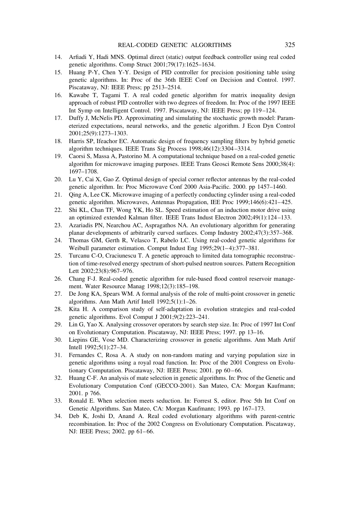- 14. Arfiadi Y, Hadi MNS. Optimal direct (static) output feedback controller using real coded genetic algorithms. Comp Struct 2001;79(17):1625–1634.
- 15. Huang P-Y, Chen Y-Y. Design of PID controller for precision positioning table using genetic algorithms. In: Proc of the 36th IEEE Conf on Decision and Control. 1997. Piscataway, NJ: IEEE Press; pp 2513–2514.
- 16. Kawabe T, Tagami T. A real coded genetic algorithm for matrix inequality design approach of robust PID controller with two degrees of freedom. In: Proc of the 1997 IEEE Int Symp on Intelligent Control. 1997. Piscataway, NJ: IEEE Press; pp 119–124.
- 17. Duffy J, McNelis PD. Approximating and simulating the stochastic growth model: Parameterized expectations, neural networks, and the genetic algorithm. J Econ Dyn Control 2001;25(9):1273–1303.
- 18. Harris SP, Ifeachor EC. Automatic design of frequency sampling filters by hybrid genetic algorithm techniques. IEEE Trans Sig Process 1998;46(12):3304–3314.
- 19. Caorsi S, Massa A, Pastorino M. A computational technique based on a real-coded genetic algorithm for microwave imaging purposes. IEEE Trans Geosci Remote Sens 2000;38(4): 1697–1708.
- 20. Lu Y, Cai X, Gao Z. Optimal design of special corner reflector antennas by the real-coded genetic algorithm. In: Proc Microwave Conf 2000 Asia-Pacific. 2000. pp 1457–1460.
- 21. Qing A, Lee CK. Microwave imaging of a perfectly conducting cylinder using a real-coded genetic algorithm. Microwaves, Antennas Propagation, IEE Proc 1999;146(6):421–425.
- 22. Shi KL, Chan TF, Wong YK, Ho SL. Speed estimation of an induction motor drive using an optimized extended Kalman filter. IEEE Trans Indust Electron 2002;49(1):124–133.
- 23. Azariadis PN, Nearchou AC, Aspragathos NA. An evolutionary algorithm for generating planar developments of arbitrarily curved surfaces. Comp Industry 2002;47(3):357–368.
- 24. Thomas GM, Gerth R, Velasco T, Rabelo LC. Using real-coded genetic algorithms for Weibull parameter estimation. Comput Indust Eng 1995;29(1–4):377–381.
- 25. Turcanu C-O, Craciunescu T. A genetic approach to limited data tomographic reconstruction of time-resolved energy spectrum of short-pulsed neutron sources. Pattern Recognition Lett 2002;23(8):967–976.
- 26. Chang F-J. Real-coded genetic algorithm for rule-based flood control reservoir management. Water Resource Manag 1998;12(3):185–198.
- 27. De Jong KA, Spears WM. A formal analysis of the role of multi-point crossover in genetic algorithms. Ann Math Artif Intell 1992;5(1):1–26.
- 28. Kita H. A comparison study of self-adaptation in evolution strategies and real-coded genetic algorithms. Evol Comput J 2001;9(2):223–241.
- 29. Lin G, Yao X. Analysing crossover operators by search step size. In: Proc of 1997 Int Conf on Evolutionary Computation. Piscataway, NJ: IEEE Press; 1997. pp 13–16.
- 30. Liepins GE, Vose MD. Characterizing crossover in genetic algorithms. Ann Math Artif Intell 1992;5(1):27–34.
- 31. Fernandes C, Rosa A. A study on non-random mating and varying population size in genetic algorithms using a royal road function. In: Proc of the 2001 Congress on Evolutionary Computation. Piscataway, NJ: IEEE Press; 2001. pp 60–66.
- 32. Huang C-F. An analysis of mate selection in genetic algorithms. In: Proc of the Genetic and Evolutionary Computation Conf (GECCO-2001). San Mateo, CA: Morgan Kaufmann; 2001. p 766.
- 33. Ronald E. When selection meets seduction. In: Forrest S, editor. Proc 5th Int Conf on Genetic Algorithms. San Mateo, CA: Morgan Kaufmann; 1993. pp 167–173.
- 34. Deb K, Joshi D, Anand A. Real coded evolutionary algorithms with parent-centric recombination. In: Proc of the 2002 Congress on Evolutionary Computation. Piscataway, NJ: IEEE Press; 2002. pp 61–66.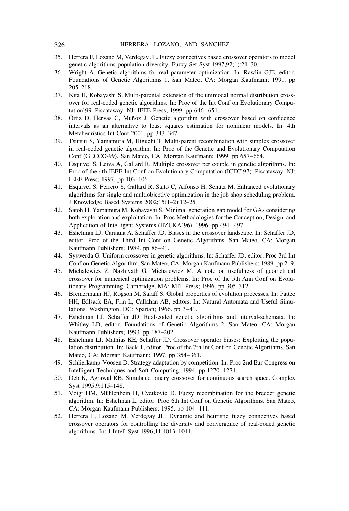- 35. Herrera F, Lozano M, Verdegay JL. Fuzzy connectives based crossover operators to model genetic algorithms population diversity. Fuzzy Set Syst 1997;92(1):21–30.
- 36. Wright A. Genetic algorithms for real parameter optimization. In: Rawlin GJE, editor. Foundations of Genetic Algorithms 1. San Mateo, CA: Morgan Kaufmann; 1991. pp 205–218.
- 37. Kita H, Kobayashi S. Multi-parental extension of the unimodal normal distribution crossover for real-coded genetic algorithms. In: Proc of the Int Conf on Evolutionary Computation'99. Piscataway, NJ: IEEE Press; 1999. pp 646–651.
- 38. Ortiz D, Hervas C, Muñoz J. Genetic algorithm with crossover based on confidence intervals as an alternative to least squares estimation for nonlinear models. In: 4th Metaheuristics Int Conf 2001. pp 343–347.
- 39. Tsutsui S, Yamamura M, Higuchi T. Multi-parent recombination with simplex crossover in real-coded genetic algorithm. In: Proc of the Genetic and Evolutionary Computation Conf (GECCO-99). San Mateo, CA: Morgan Kaufmann; 1999. pp 657–664.
- 40. Esquivel S, Leiva A, Gallard R. Multiple crossover per couple in genetic algorithms. In: Proc of the 4th IEEE Int Conf on Evolutionary Computation (ICEC'97). Piscataway, NJ: IEEE Press; 1997. pp 103–106.
- 41. Esquivel S, Ferrero S, Gallard R, Salto C, Alfonso H, Schütz M. Enhanced evolutionary algorithms for single and multiobjective optimization in the job shop scheduling problem. J Knowledge Based Systems 2002;15(1–2):12–25.
- 42. Satoh H, Yamamura M, Kobayashi S. Minimal generation gap model for GAs considering both exploration and exploitation. In: Proc Methodologies for the Conception, Design, and Application of Intelligent Systems (IIZUKA'96). 1996. pp 494–497.
- 43. Eshelman LJ, Caruana A, Schaffer JD. Biases in the crossover landscape. In: Schaffer JD, editor. Proc of the Third Int Conf on Genetic Algorithms. San Mateo, CA: Morgan Kaufmann Publishers; 1989. pp 86–91.
- 44. Syswerda G. Uniform crossover in genetic algorithms. In: Schaffer JD, editor. Proc 3rd Int Conf on Genetic Algorithm. San Mateo, CA: Morgan Kaufmann Publishers; 1989. pp 2–9.
- 45. Michalewicz Z, Nazhiyath G, Michalewicz M. A note on usefulness of geometrical crossover for numerical optimization problems. In: Proc of the 5th Ann Conf on Evolutionary Programming. Cambridge, MA: MIT Press; 1996. pp 305–312.
- 46. Bremermann HJ, Rogson M, Salaff S. Global properties of evolution processes. In: Pattee HH, Edlsack EA, Frin L, Callahan AB, editors. In: Natural Automata and Useful Simulations. Washington, DC: Spartan; 1966. pp 3–41.
- 47. Eshelman LJ, Schaffer JD. Real-coded genetic algorithms and interval-schemata. In: Whitley LD, editor. Foundations of Genetic Algorithms 2. San Mateo, CA: Morgan Kaufmann Publishers; 1993. pp 187–202.
- 48. Eshelman LJ, Mathias KE, Schaffer JD. Crossover operator biases: Exploiting the population distribution. In: Bäck T, editor. Proc of the 7th Int Conf on Genetic Algorithms. San Mateo, CA: Morgan Kaufmann; 1997. pp 354–361.
- 49. Schlierkamp-Voosen D. Strategy adaptation by competition. In: Proc 2nd Eur Congress on Intelligent Techniques and Soft Computing. 1994. pp 1270–1274.
- 50. Deb K, Agrawal RB. Simulated binary crossover for continuous search space. Complex Syst 1995;9:115–148.
- 51. Voigt HM, Mühlenbein H, Cvetkovic D. Fuzzy recombination for the breeder genetic algorithm. In: Eshelman L, editor. Proc 6th Int Conf on Genetic Algorithms. San Mateo, CA: Morgan Kaufmann Publishers; 1995. pp 104–111.
- 52. Herrera F, Lozano M, Verdegay JL. Dynamic and heuristic fuzzy connectives based crossover operators for controlling the diversity and convergence of real-coded genetic algorithms. Int J Intell Syst 1996;11:1013–1041.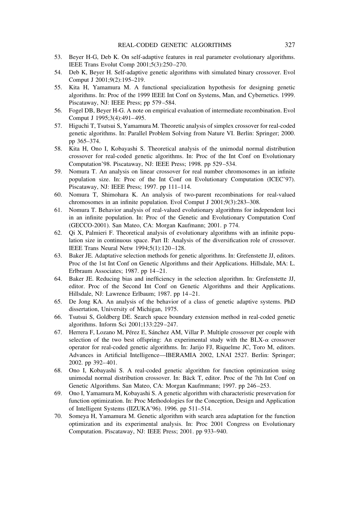- 53. Beyer H-G, Deb K. On self-adaptive features in real parameter evolutionary algorithms. IEEE Trans Evolut Comp 2001;5(3):250–270.
- 54. Deb K, Beyer H. Self-adaptive genetic algorithms with simulated binary crossover. Evol Comput J 2001;9(2):195–219.
- 55. Kita H, Yamamura M. A functional specialization hypothesis for designing genetic algorithms. In: Proc of the 1999 IEEE Int Conf on Systems, Man, and Cybernetics. 1999. Piscataway, NJ: IEEE Press; pp 579–584.
- 56. Fogel DB, Beyer H-G. A note on empirical evaluation of intermediate recombination. Evol Comput J 1995;3(4):491–495.
- 57. Higuchi T, Tsutsui S, Yamamura M. Theoretic analysis of simplex crossover for real-coded genetic algorithms. In: Parallel Problem Solving from Nature VI. Berlin: Springer; 2000. pp 365–374.
- 58. Kita H, Ono I, Kobayashi S. Theoretical analysis of the unimodal normal distribution crossover for real-coded genetic algorithms. In: Proc of the Int Conf on Evolutionary Computation'98. Piscataway, NJ: IEEE Press; 1998. pp 529–534.
- 59. Nomura T. An analysis on linear crossover for real number chromosomes in an infinite population size. In: Proc of the Int Conf on Evolutionary Computation (ICEC'97). Piscataway, NJ: IEEE Press; 1997. pp 111–114.
- 60. Nomura T, Shimohara K. An analysis of two-parent recombinations for real-valued chromosomes in an infinite population. Evol Comput J 2001;9(3):283–308.
- 61. Nomura T. Behavior analysis of real-valued evolutionary algorithms for independent loci in an infinite population. In: Proc of the Genetic and Evolutionary Computation Conf (GECCO-2001). San Mateo, CA: Morgan Kaufmann; 2001. p 774.
- 62. Qi X, Palmieri F. Theoretical analysis of evolutionary algorithms with an infinite population size in continuous space. Part II: Analysis of the diversification role of crossover. IEEE Trans Neural Netw 1994;5(1):120–128.
- 63. Baker JE. Adaptative selection methods for genetic algorithms. In: Grefenstette JJ, editors. Proc of the 1st Int Conf on Genetic Algorithms and their Applications. Hillsdale, MA: L. Erlbraum Associates; 1987. pp 14–21.
- 64. Baker JE. Reducing bias and inefficiency in the selection algorithm. In: Grefenstette JJ, editor. Proc of the Second Int Conf on Genetic Algorithms and their Applications. Hillsdale, NJ: Lawrence Erlbaum; 1987. pp 14–21.
- 65. De Jong KA. An analysis of the behavior of a class of genetic adaptive systems. PhD dissertation, University of Michigan, 1975.
- 66. Tsutsui S, Goldberg DE. Search space boundary extension method in real-coded genetic algorithms. Inform Sci 2001;133:229–247.
- 67. Herrera F, Lozano M, Pérez E, Sánchez AM, Villar P. Multiple crossover per couple with selection of the two best offspring: An experimental study with the BLX- $\alpha$  crossover operator for real-coded genetic algorithms. In: Jarijo FJ, Riquelme JC, Toro M, editors. Advances in Artificial Intelligence—IBERAMIA 2002, LNAI 2527. Berlin: Springer; 2002. pp 392–401.
- 68. Ono I, Kobayashi S. A real-coded genetic algorithm for function optimization using unimodal normal distribution crossover. In: Bäck T, editor. Proc of the 7th Int Conf on Genetic Algorithms. San Mateo, CA: Morgan Kaufmmann; 1997. pp 246–253.
- 69. Ono I, Yamamura M, Kobayashi S. A genetic algorithm with characteristic preservation for function optimization. In: Proc Methodologies for the Conception, Design and Application of Intelligent Systems (IIZUKA'96). 1996. pp 511–514.
- 70. Someya H, Yamamura M. Genetic algorithm with search area adaptation for the function optimization and its experimental analysis. In: Proc 2001 Congress on Evolutionary Computation. Piscataway, NJ: IEEE Press; 2001. pp 933–940.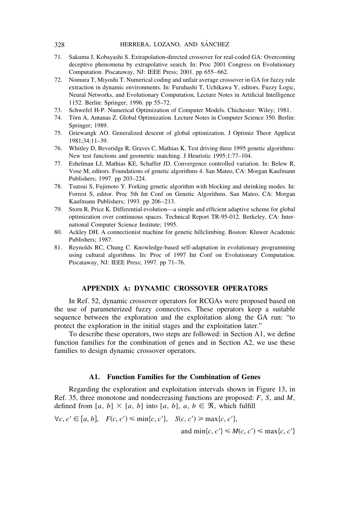#### 328 HERRERA, LOZANO, AND SÁNCHEZ

- 71. Sakuma J, Kobayashi S. Extrapolation-directed crossover for real-coded GA: Overcoming deceptive phenomena by extrapolative search. In: Proc 2001 Congress on Evolutionary Computation. Piscataway, NJ: IEEE Press; 2001. pp 655–662.
- 72. Nomura T, Miyoshi T. Numerical coding and unfair average crossover in GA for fuzzy rule extraction in dynamic environments. In: Furuhashi T, Uchikawa Y, editors. Fuzzy Logic, Neural Networks, and Evolutionary Computation, Lecture Notes in Artificial Intelligence 1152. Berlin: Springer; 1996. pp 55–72.
- 73. Schwefel H-P. Numerical Optimization of Computer Models. Chichester: Wiley; 1981.
- 74. Törn A, Antanas Z. Global Optimization. Lecture Notes in Computer Science 350. Berlin: Springer; 1989.
- 75. Griewangk AO. Generalized descent of global optimization. J Optimiz Theor Applicat 1981;34:11–39.
- 76. Whitley D, Beveridge R, Graves C, Mathias K. Test driving three 1995 genetic algorithms: New test functions and geometric matching. J Heuristic 1995;1:77–104.
- 77. Eshelman LJ, Mathias KE, Schaffer JD. Convergence controlled variation. In: Belew R, Vose M, editors. Foundations of genetic algorithms 4. San Mateo, CA: Morgan Kaufmann Publishers; 1997. pp 203–224.
- 78. Tsutsui S, Fujimoto Y. Forking genetic algorithm with blocking and shrinking modes. In: Forrest S, editor. Proc 5th Int Conf on Genetic Algorithms. San Mateo, CA: Morgan Kaufmann Publishers; 1993. pp 206–213.
- 79. Storn R, Price K. Differential evolution—a simple and efficient adaptive scheme for global optimization over continuous spaces. Technical Report TR-95-012. Berkeley, CA: International Computer Science Institute; 1995.
- 80. Ackley DH. A connectionist machine for genetic hillclimbing. Boston: Kluwer Academic Publishers; 1987.
- 81. Reynolds RC, Chung C. Knowledge-based self-adaptation in evolutionary programming using cultural algorithms. In: Proc of 1997 Int Conf on Evolutionary Computation. Piscataway, NJ: IEEE Press; 1997. pp 71–76.

### **APPENDIX A: DYNAMIC CROSSOVER OPERATORS**

In Ref. 52, dynamic crossover operators for RCGAs were proposed based on the use of parameterized fuzzy connectives. These operators keep a suitable sequence between the exploration and the exploitation along the GA run: "to protect the exploration in the initial stages and the exploitation later."

To describe these operators, two steps are followed: in Section A1, we define function families for the combination of genes and in Section A2, we use these families to design dynamic crossover operators.

#### **A1. Function Families for the Combination of Genes**

Regarding the exploration and exploitation intervals shown in Figure 13, in Ref. 35, three monotone and nondecreasing functions are proposed: *F*, *S*, and *M*, defined from  $[a, b] \times [a, b]$  into  $[a, b]$ ,  $a, b \in \mathcal{R}$ , which fulfill

$$
\forall c, c' \in [a, b], \quad F(c, c') \le \min\{c, c'\}, \quad S(c, c') \ge \max\{c, c'\},
$$
  
and  $\min\{c, c'\} \le M(c, c') \le \max\{c, c'\}$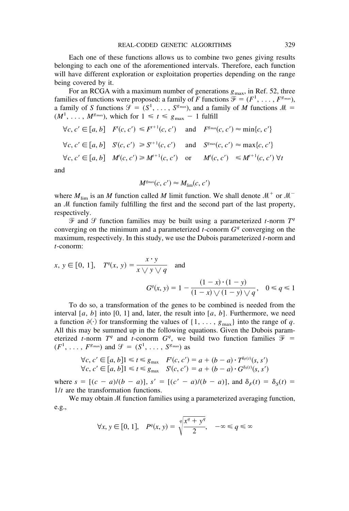Each one of these functions allows us to combine two genes giving results belonging to each one of the aforementioned intervals. Therefore, each function will have different exploration or exploitation properties depending on the range being covered by it.

For an RCGA with a maximum number of generations  $g_{\text{max}}$ , in Ref. 52, three families of functions were proposed: a family of *F* functions  $\mathcal{F} = (F^1, \ldots, F^{g_{\text{max}}})$ , a family of *S* functions  $\mathcal{G} = (S^1, \ldots, S^{g_{\text{max}}})$ , and a family of *M* functions  $\mathcal{M} =$  $(M^1, \ldots, M^{g_{\text{max}}})$ , which for  $1 \le t \le g_{\text{max}} - 1$  fulfill

$$
\forall c, c' \in [a, b] \quad F'(c, c') \le F^{t+1}(c, c') \quad \text{and} \quad F^{g_{\text{max}}}(c, c') \approx \min\{c, c'\}
$$
\n
$$
\forall c, c' \in [a, b] \quad S'(c, c') \ge S^{t+1}(c, c') \quad \text{and} \quad S^{g_{\text{max}}}(c, c') \approx \max\{c, c'\}
$$
\n
$$
\forall c, c' \in [a, b] \quad M'(c, c') \ge M^{t+1}(c, c') \quad \text{or} \quad M'(c, c') \le M^{t+1}(c, c') \quad \forall t
$$

and

$$
M^{\rm g_{max}}(c, c') \approx M_{\rm lim}(c, c')
$$

where  $M_{\text{lim}}$  is an *M* function called *M* limit function. We shall denote  $M^{+}$  or  $M^{-}$ an  $M$  function family fulfilling the first and the second part of the last property, respectively.

 $\mathcal{F}$  and  $\mathcal{F}$  function families may be built using a parameterized *t*-norm  $T^q$ converging on the minimum and a parameterized *t*-conorm  $G<sup>q</sup>$  converging on the maximum, respectively. In this study, we use the Dubois parameterized *t*-norm and *t*-conorm:

$$
x, y \in [0, 1], T^q(x, y) = \frac{x \cdot y}{x \vee y \vee q}
$$
 and  

$$
G^q(x, y) = 1 - \frac{(1 - x) \cdot (1 - y)}{(1 - x) \vee (1 - y) \vee q}, \quad 0 \le q \le 1
$$

To do so, a transformation of the genes to be combined is needed from the interval  $[a, b]$  into  $[0, 1]$  and, later, the result into  $[a, b]$ . Furthermore, we need a function  $\partial(\cdot)$  for transforming the values of  $\{1, \ldots, g_{\text{max}}\}$  into the range of q. All this may be summed up in the following equations. Given the Dubois parameterized *t*-norm  $T^q$  and *t*-conorm  $G^q$ , we build two function families  $\mathcal{F}$  =  $(F^1, \ldots, F^{g_{\text{max}}})$  and  $\mathcal{G} = (S^1, \ldots, S^{g_{\text{max}}})$  as

$$
\forall c, c' \in [a, b] \le t \le g_{\text{max}} \quad F(c, c') = a + (b - a) \cdot T^{\delta r(t)}(s, s')
$$
  

$$
\forall c, c' \in [a, b] \le t \le g_{\text{max}} \quad S'(c, c') = a + (b - a) \cdot G^{\delta s(t)}(s, s')
$$

where  $s = [(c - a)/(b - a)], s' = [(c' - a)/(b - a)],$  and  $\delta_F(t) = \delta_S(t) =$ 1/*t* are the transformation functions.

We may obtain  $M$  function families using a parameterized averaging function, e.g.,

$$
\forall x, y \in [0, 1], \quad P^q(x, y) = \sqrt[q]{\frac{x^q + y^q}{2}}, \quad -\infty \le q \le \infty
$$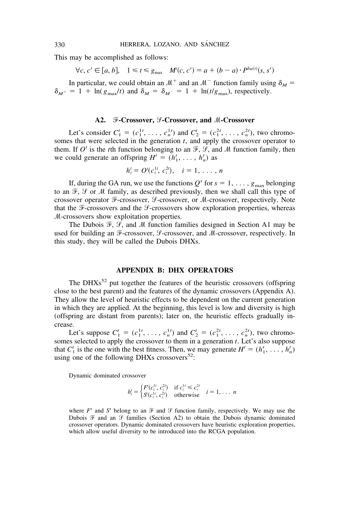This may be accomplished as follows:

$$
\forall c, c' \in [a, b], \quad 1 \leq t \leq g_{\text{max}} \quad M'(c, c') = a + (b - a) \cdot P^{\delta_M(t)}(s, s')
$$

In particular, we could obtain an  $M^+$  and an  $M^-$  function family using  $\delta_M =$  $\delta_{M^+} = 1 + \ln(g_{\text{max}}/t)$  and  $\delta_M = \delta_{M^-} = 1 + \ln(t/g_{\text{max}})$ , respectively.

#### **A2. F-Crossover, P-Crossover, and M-Crossover**

Let's consider  $C_1^t = (c_1^{1t}, \ldots, c_n^{1t})$  and  $C_2^t = (c_1^{2t}, \ldots, c_n^{2t})$ , two chromosomes that were selected in the generation *t*, and apply the crossover operator to them. If  $O^t$  is the *t*th function belonging to an  $\mathcal{F}, \mathcal{G},$  and M function family, then we could generate an offspring  $H^t = (h_1^t, \ldots, h_n^t)$  as

$$
h_i^t = O^t(c_i^{1t}, c_i^{2t}), \quad i = 1, \ldots, n
$$

If, during the GA run, we use the functions  $Q^s$  for  $s = 1, \ldots, g_{\text{max}}$  belonging to an  $\mathcal{F}, \mathcal{G}$  or M family, as described previously, then we shall call this type of crossover operator F-crossover, *J*-crossover, or *M*-crossover, respectively. Note that the  $\mathcal F$ -crossovers and the  $\mathcal G$ -crossovers show exploration properties, whereas  $M$ -crossovers show exploitation properties.

The Dubois  $\mathcal{F}, \mathcal{G},$  and  $\mathcal{M}$  function families designed in Section A1 may be used for building an F-crossover, *9*-crossover, and *M*-crossover, respectively. In this study, they will be called the Dubois DHXs.

#### **APPENDIX B: DHX OPERATORS**

The DHXs<sup>52</sup> put together the features of the heuristic crossovers (offspring close to the best parent) and the features of the dynamic crossovers (Appendix A). They allow the level of heuristic effects to be dependent on the current generation in which they are applied. At the beginning, this level is low and diversity is high (offspring are distant from parents); later on, the heuristic effects gradually increase.

Let's suppose  $C_1^t = (c_1^{1t}, \ldots, c_n^{1t})$  and  $C_2^t = (c_1^{2t}, \ldots, c_n^{2t})$ , two chromosomes selected to apply the crossover to them in a generation  $\hat{t}$ . Let's also suppose that  $C_1^t$  is the one with the best fitness. Then, we may generate  $H^t = (h_1^t, \ldots, h_n^t)$ using one of the following DHXs crossovers<sup>52</sup>:

Dynamic dominated crossover

$$
h_i^t = \begin{cases} F'(c_i^{1t}, c_i^{2t}) & \text{if } c_i^{1t} \le c_i^{2t} \\ S'(c_i^{1t}, c_i^{2t}) & \text{otherwise} \end{cases} \quad i = 1, \dots, n
$$

where  $F^t$  and  $S^t$  belong to an  $\mathcal F$  and  $\mathcal G$  function family, respectively. We may use the Dubois  $\mathcal F$  and an  $\mathcal G$  families (Section A2) to obtain the Dubois dynamic dominated crossover operators. Dynamic dominated crossovers have heuristic exploration properties, which allow useful diversity to be introduced into the RCGA population.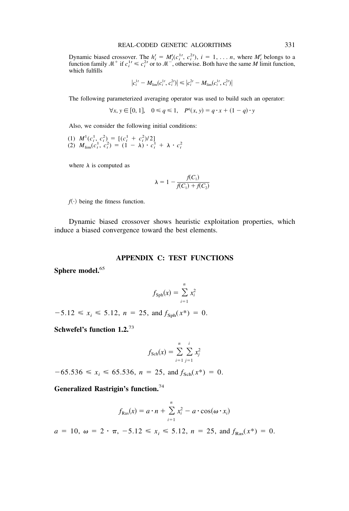Dynamic biased crossover. The  $h_i^t = M_i^t(c_i^{1t}, c_i^{2t})$ ,  $i = 1, \ldots n$ , where  $M_i^t$  belongs to a function family  $\mathcal{M}^+$  if  $c_i^{1t} \leq c_i^{2t}$  or to  $\mathcal{M}^-$ , otherwise. Both have the same *M* limit function, which fulfills

$$
|c_i^{1t} - M_{\text{lim}}(c_i^{1t}, c_i^{2t})| \le |c_i^{2t} - M_{\text{lim}}(c_i^{1t}, c_i^{2t})|
$$

The following parameterized averaging operator was used to build such an operator:

$$
\forall x, y \in [0, 1], \quad 0 \le q \le 1, \quad P^q(x, y) = q \cdot x + (1 - q) \cdot y
$$

Also, we consider the following initial conditions:

(1)  $M^1(c_i^1, c_i^2) = [(c_i^1 + c_i^2)/2]$ (2)  $M_{\text{lim}}(c_i^1, c_i^2) = (1 - \lambda) \cdot c_i^1 + \lambda \cdot c_i^2$ 

where  $\lambda$  is computed as

$$
\lambda = 1 - \frac{f(C_1)}{f(C_1) + f(C_2)}
$$

 $f(\cdot)$  being the fitness function.

Dynamic biased crossover shows heuristic exploitation properties, which induce a biased convergence toward the best elements.

#### **APPENDIX C: TEST FUNCTIONS**

**Sphere model.**<sup>65</sup>

$$
f_{\text{Sph}}(x) = \sum_{i=1}^{n} x_i^2
$$

 $-5.12 \le x_i \le 5.12$ ,  $n = 25$ , and  $f_{\text{Sph}}(x^*) = 0$ .

**Schwefel's function 1.2.**<sup>73</sup>

$$
f_{\text{Sch}}(x) = \sum_{i=1}^{n} \sum_{j=1}^{i} x_j^2
$$

 $-65.536 \le x_i \le 65.536$ ,  $n = 25$ , and  $f_{Sch}(x^*) = 0$ .

**Generalized Rastrigin's function.**<sup>74</sup>

$$
f_{\text{Ras}}(x) = a \cdot n + \sum_{i=1}^{n} x_i^2 - a \cdot \cos(\omega \cdot x_i)
$$

 $a = 10, \ \omega = 2 \cdot \pi, \ -5.12 \le x_i \le 5.12, \ n = 25, \text{ and } f_{\text{Ras}}(x^*) = 0.$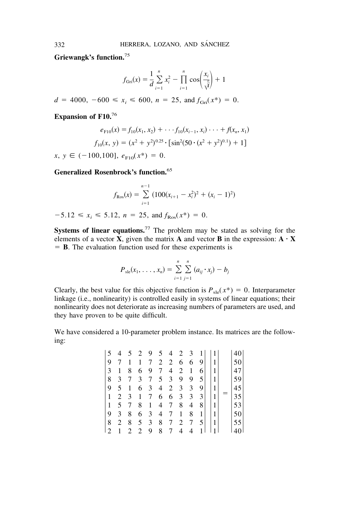**Griewangk's function.**<sup>75</sup>

$$
f_{\text{Gri}}(x) = \frac{1}{d} \sum_{i=1}^{n} x_i^2 - \prod_{i=1}^{n} \cos\left(\frac{x_i}{\sqrt{i}}\right) + 1
$$

 $d = 4000, -600 \le x_i \le 600, n = 25, \text{ and } f_{\text{Gri}}(x^*) = 0.$ 

**Expansion of F10.**<sup>76</sup>

$$
e_{F10}(x) = f_{10}(x_1, x_2) + \cdots + f_{10}(x_{i-1}, x_i) \cdots + f(x_n, x_1)
$$
  

$$
f_{10}(x, y) = (x^2 + y^2)^{0.25} \cdot \left[ \sin^2(50 \cdot (x^2 + y^2)^{0.1}) + 1 \right]
$$

 $x, y \in (-100, 100], e_{F10}(x^*) = 0.$ 

**Generalized Rosenbrock's function.**<sup>65</sup>

$$
f_{\text{Ros}}(x) = \sum_{i=1}^{n-1} (100(x_{i+1} - x_i^2)^2 + (x_i - 1)^2)
$$
  
-5.12  $\le x_i \le 5.12$ ,  $n = 25$ , and  $f_{\text{Ros}}(x^*) = 0$ .

**Systems of linear equations.**<sup>77</sup> The problem may be stated as solving for the elements of a vector **X**, given the matrix **A** and vector **B** in the expression:  $\mathbf{A} \cdot \mathbf{X}$ **B**. The evaluation function used for these experiments is

$$
P_{\rm sle}(x_1,\ldots,x_n) = \sum_{i=1}^n \sum_{j=1}^n (a_{ij} \cdot x_j) - b_j
$$

Clearly, the best value for this objective function is  $P_{\text{sle}}(x^*) = 0$ . Interparameter linkage (i.e., nonlinearity) is controlled easily in systems of linear equations; their nonlinearity does not deteriorate as increasing numbers of parameters are used, and they have proven to be quite difficult.

We have considered a 10-parameter problem instance. Its matrices are the following:

| $\overline{5}$ | 4              | 5 2            |                | 9               | 5 <sup>5</sup> | 4              | $\overline{2}$ | 3 |     | 1 |    |
|----------------|----------------|----------------|----------------|-----------------|----------------|----------------|----------------|---|-----|---|----|
| 9              | 7              | 1              | 1              | 7               | 2              | 2              | 6              | 6 | 9   | 1 | 50 |
| 3              | 1              | 8              | 6              | -9              | 7              | 4              | 2              | 1 | 6   | 1 | 47 |
| 8              | 3              | 7              | 3 <sup>7</sup> | $7\overline{ }$ | 5 <sup>5</sup> | 3              | 9              | 9 | 5 I | 1 | 59 |
| 19             | 5              | 1              | 6              | 3               | 4              | 2              | 3              | 3 | 9   | 1 | 45 |
| $\vert$ 1      | $\overline{2}$ | $\overline{3}$ | 1              | $7\overline{ }$ | 6              | 6              | 3              | 3 | 3   | 1 | 35 |
| 1              | 5              | 7              | 8              | 1               | 4              | $\overline{7}$ | 8              | 4 | 8   | 1 | 53 |
| 9              | 3              | 8              | 6              | $\overline{3}$  | 4              | $\tau$         | 1              | 8 | 1   | 1 | 50 |
| 8              | 2              | 8              | 5              | 3               | 8              | 7              | 2              | 7 | 5 I | 1 | 55 |
|                |                | 2              | 2              | 9               | 8              | 7              | 4              | 4 |     |   |    |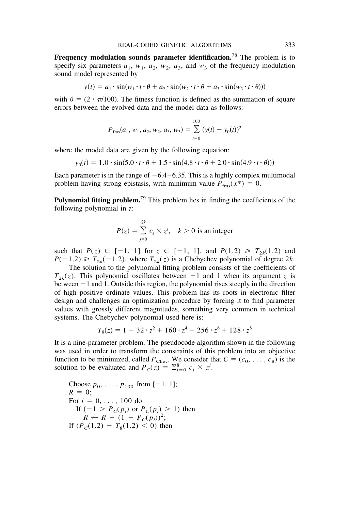**Frequency modulation sounds parameter identification.**<sup>78</sup> The problem is to specify six parameters  $a_1$ ,  $w_1$ ,  $a_2$ ,  $w_2$ ,  $a_3$ , and  $w_3$  of the frequency modulation sound model represented by

$$
y(t) = a_1 \cdot \sin(w_1 \cdot t \cdot \theta + a_2 \cdot \sin(w_2 \cdot t \cdot \theta + a_3 \cdot \sin(w_3 \cdot t \cdot \theta)))
$$

with  $\theta = (2 \cdot \pi/100)$ . The fitness function is defined as the summation of square errors between the evolved data and the model data as follows:

$$
P_{\text{fms}}(a_1, w_1, a_2, w_2, a_3, w_3) = \sum_{t=0}^{100} (y(t) - y_0(t))^2
$$

where the model data are given by the following equation:

$$
y_0(t) = 1.0 \cdot \sin(5.0 \cdot t \cdot \theta + 1.5 \cdot \sin(4.8 \cdot t \cdot \theta + 2.0 \cdot \sin(4.9 \cdot t \cdot \theta)))
$$

Each parameter is in the range of  $-6.4 - 6.35$ . This is a highly complex multimodal problem having strong epistasis, with minimum value  $P_{fms}(x^*) = 0$ .

**Polynomial fitting problem.**<sup>79</sup> This problem lies in finding the coefficients of the following polynomial in *z*:

$$
P(z) = \sum_{j=0}^{2k} c_j \times z^j, \quad k > 0 \text{ is an integer}
$$

such that  $P(z) \in [-1, 1]$  for  $z \in [-1, 1]$ , and  $P(1.2) \ge T_{2k}(1.2)$  and  $P(-1.2) \geq T_{2k}(-1.2)$ , where  $T_{2k}(z)$  is a Chebychev polynomial of degree 2*k*.

The solution to the polynomial fitting problem consists of the coefficients of  $T_{2k}(z)$ . This polynomial oscillates between  $-1$  and 1 when its argument *z* is between -1 and 1. Outside this region, the polynomial rises steeply in the direction of high positive ordinate values. This problem has its roots in electronic filter design and challenges an optimization procedure by forcing it to find parameter values with grossly different magnitudes, something very common in technical systems. The Chebychev polynomial used here is:

$$
T_8(z) = 1 - 32 \cdot z^2 + 160 \cdot z^4 - 256 \cdot z^6 + 128 \cdot z^8
$$

It is a nine-parameter problem. The pseudocode algorithm shown in the following was used in order to transform the constraints of this problem into an objective function to be minimized, called  $P_{Chev}$ . We consider that  $C = (c_0, \ldots, c_8)$  is the solution to be evaluated and  $P_c(z) = \sum_{j=0}^{8} c_j \times z^j$ .

Choose 
$$
p_0, \ldots, p_{100}
$$
 from  $[-1, 1]$ ;  
\n $R = 0$ ;  
\nFor  $i = 0, \ldots, 100$  do  
\nIf  $(-1 > P_C(p_i)$  or  $P_C(p_i) > 1$ ) then  
\n $R \leftarrow R + (1 - P_C(p_i))^2$ ;  
\nIf  $(P_C(1.2) - T_8(1.2) < 0)$  then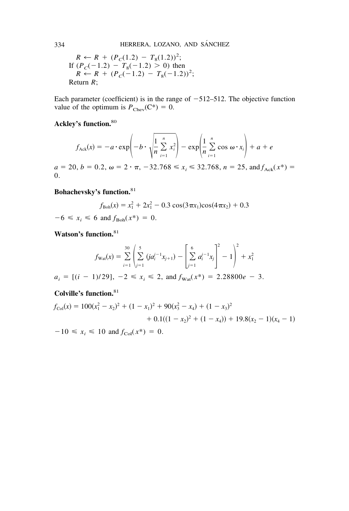$$
R \leftarrow R + (P_C(1.2) - T_8(1.2))^2;
$$
  
If  $(P_C(-1.2) - T_8(-1.2) > 0)$  then  
 $R \leftarrow R + (P_C(-1.2) - T_8(-1.2))^2;$   
Return R;

Each parameter (coefficient) is in the range of  $-512-512$ . The objective function value of the optimum is  $P_{\text{Chev}}(C^*) = 0$ .

# **Ackley's function.**<sup>80</sup>

$$
f_{\text{Ack}}(x) = -a \cdot \exp\left(-b \cdot \sqrt{\frac{1}{n} \sum_{i=1}^{n} x_i^2}\right) - \exp\left(\frac{1}{n} \sum_{i=1}^{n} \cos \omega \cdot x_i\right) + a + e
$$

 $a = 20, b = 0.2, \omega = 2 \cdot \pi, -32.768 \le x_i \le 32.768, n = 25, \text{ and } f_{\text{Ack}}(x^*) =$ 0.

# **Bohachevsky's function.**<sup>81</sup>

$$
f_{\text{Boh}}(x) = x_1^2 + 2x_1^2 - 0.3 \cos(3\pi x_1) \cos(4\pi x_2) + 0.3
$$

 $-6 \le x_i \le 6$  and  $f_{\text{Boh}}(x^*) = 0$ .

**Watson's function.**<sup>81</sup>

$$
f_{\text{Wat}}(x) = \sum_{i=1}^{30} \left( \sum_{j=1}^{5} (j a_i^{j-1} x_{j+1}) - \left[ \sum_{j=1}^{6} a_i^{j-1} x_j \right]^{2} - 1 \right)^{2} + x_1^{2}
$$

 $a_i = [(i - 1)/29], -2 \le x_i \le 2, \text{ and } f_{\text{Wat}}(x^*) = 2.28800e - 3.$ 

**Colville's function.**<sup>81</sup>

$$
f_{\text{Col}}(x) = 100(x_1^2 - x_2)^2 + (1 - x_1)^2 + 90(x_3^2 - x_4) + (1 - x_3)^2
$$
  
+ 0.1((1 - x\_2)^2 + (1 - x\_4)) + 19.8(x\_2 - 1)(x\_4 - 1)  
-10 < x<sub>i</sub> < 10 and f\_{\text{Col}}(x^\*) = 0.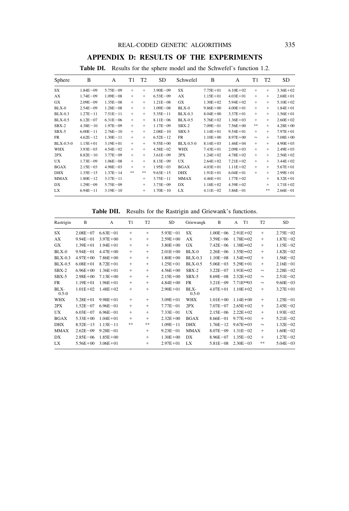# **APPENDIX D: RESULTS OF THE EXPERIMENTS**

| Sphere         | B            | А            | T <sub>1</sub> | T <sub>2</sub> | SD.          | Schwefel       | B            | А            | T1         | T2     | <b>SD</b>    |
|----------------|--------------|--------------|----------------|----------------|--------------|----------------|--------------|--------------|------------|--------|--------------|
| SX             | $1.84E - 09$ | $5.75E - 09$ | $+$            | $+$            | $3.90E - 09$ | SX             | $7.75E + 01$ | $6.10E + 02$ | $^{+}$     | $^{+}$ | $3.36E + 02$ |
| АX             | $1.74E - 09$ | $1.09E - 08$ | $^{+}$         | $+$            | $6.53E - 09$ | AX             | $1.15E + 01$ | $4.03E + 01$ | $^{+}$     | $+$    | $2.68E + 01$ |
| GX             | $2.09E - 09$ | $1.35E - 08$ | $+$            | $+$            | $1.21E - 08$ | GX             | $1.30E + 02$ | $5.94E + 02$ | $^{+}$     | $^{+}$ | $5.10E + 02$ |
| BLX-0          | $2.54E - 09$ | $1.28E - 08$ | $^{+}$         | $+$            | $1.09E - 08$ | $BLX-0$        | $9.86E + 00$ | $4.00E + 01$ | $^{+}$     | $^{+}$ | $1.84E + 01$ |
| <b>BLX-0.3</b> | $1.27E - 11$ | $7.51E - 11$ | $^{+}$         | $+$            | $5.35E - 11$ | <b>BLX-0.3</b> | $8.04E + 00$ | $3.37E + 01$ | $^{+}$     | $^{+}$ | $1.56E + 01$ |
| <b>BLX-0.5</b> | $6.12E - 07$ | $6.31E - 06$ | $+$            | $^{+}$         | $8.11E - 06$ | <b>BLX-0.5</b> | $5.76E + 02$ | $1.36E + 03$ | $^{+}$     | $^{+}$ | $2.60E + 02$ |
| $SBX-2$        | $4.38E - 10$ | $1.97E - 09$ | $^{+}$         | $+$            | $1.17E - 09$ | $SBX-2$        | $7.09E - 01$ | $7.56E + 00$ | $\ast\ast$ | $^{+}$ | $4.28E + 00$ |
| $SBX-5$        | $6.00E - 11$ | $2.76E - 10$ | $^{+}$         | $^{+}$         | $2.08E - 10$ | $SBX-5$        | $1.14E + 01$ | $9.54E + 01$ | $^{+}$     | $^{+}$ | $7.97E + 01$ |
| FR             | $4.62E - 12$ | $1.30E - 11$ | $^{+}$         | $^{+}$         | $6.52E - 12$ | FR             | $1.10E + 00$ | $8.97E + 00$ | $\approx$  | $+$    | $7.08E + 00$ |
| BLX-0.5-0      | $1.15E + 01$ | $3.19E + 01$ | $+$            | $^{+}$         | $9.55E + 00$ | $BLX-0.5-0$    | $8.14E + 03$ | $1.46E + 04$ | $^{+}$     | $^{+}$ | $4.90E + 03$ |
| <b>WHX</b>     | $3.93E - 03$ | $4.54E - 02$ | $^{+}$         | $+$            | $4.58E - 02$ | <b>WHX</b>     | $7.43E + 01$ | $2.09E + 03$ | $^{+}$     | $^{+}$ | $2.49E + 03$ |
| 2PX            | $8.82E - 10$ | $3.77E - 09$ | $^{+}$         | $^{+}$         | $3.61E - 09$ | 2PX            | $1.24E + 02$ | $4.78E + 02$ | $^{+}$     | $^{+}$ | $2.56E + 02$ |
| UX.            | $1.73E - 09$ | $1.06E - 08$ | $+$            | $^{+}$         | $8.13E - 09$ | <b>UX</b>      | $2.64E + 02$ | $7.21E + 02$ | $^{+}$     | $^{+}$ | $3.44E + 02$ |
| <b>BGAX</b>    | $2.15E - 03$ | $4.98E - 03$ | $^{+}$         | $^{+}$         | $1.95E - 03$ | <b>BGAX</b>    | $4.03E + 01$ | $1.11E + 02$ | $^{+}$     | $+$    | $5.67E + 01$ |
| <b>DHX</b>     | $1.35E - 15$ | $1.37E - 14$ | **             | $* *$          | $9.63E - 15$ | <b>DHX</b>     | $1.91E + 01$ | $6.04E + 01$ | $^{+}$     | $^{+}$ | $2.99E + 01$ |
| <b>MMAX</b>    | $1.80E - 12$ | $3.17E - 11$ |                | $^{+}$         | $3.75E - 11$ | <b>MMAX</b>    | $4.46E + 01$ | $1.77E + 02$ |            | $^{+}$ | $8.32E + 01$ |
| DX             | $1.29E - 09$ | $5.75E - 09$ |                | $^{+}$         | $3.73E - 09$ | DX             | $1.18E + 02$ | $4.39E + 02$ |            | $^{+}$ | $1.71E + 02$ |
| LX             | $6.94E - 11$ | $3.19E - 10$ |                | $^{+}$         | $1.70E - 10$ | LX             | $4.11E - 02$ | $3.86E - 01$ |            | **     | $2.66E - 01$ |

**Table DI.** Results for the sphere model and the Schwefel's function 1.2.

**Table DII.** Results for the Rastrigin and Griewank's functions.

| Rastrigin         | B            | A            | T1     | T <sub>2</sub> | SD           | Griewangk           | B            | T1<br>A             | T <sub>2</sub> | <b>SD</b>    |
|-------------------|--------------|--------------|--------|----------------|--------------|---------------------|--------------|---------------------|----------------|--------------|
| SX                | $2.08E - 07$ | $6.63E - 01$ | $+$    | $+$            | $5.93E - 01$ | SX                  | $1.00E - 06$ | $2.91E + 02$        | $+$            | $2.75E - 02$ |
| AX                | $9.94E - 01$ | $3.97E + 00$ | $^{+}$ | $+$            | $2.59E + 00$ | AX                  | $3.59E - 06$ | $1.78E \approx 02$  | $^{+}$         | $1.87E - 02$ |
| <b>GX</b>         | $1.39E + 01$ | $1.94E + 01$ | $^{+}$ | $^{+}$         | $3.80E + 00$ | <b>GX</b>           | $7.42E - 06$ | $1.38E \approx 02$  | $^{+}$         | $1.15E - 02$ |
| $BLX-0$           | $9.94E - 01$ | $4.47E + 00$ | $^{+}$ | $^{+}$         | $2.01E + 00$ | $BLX-0$             | $2.26E - 06$ | $1.55E \approx 02$  | $^{+}$         | $1.82E - 02$ |
| $BLX-0.3$         | $4.97E + 00$ | $7.86E + 00$ | $^{+}$ | $^{+}$         | $1.80E + 00$ | $BLX-0.3$           | $1.10E - 08$ | $1.54E \approx 02$  | $^{+}$         | $1.56E - 02$ |
| <b>BLX-0.5</b>    | $6.08E + 01$ | $8.72E + 01$ | $^{+}$ | $+$            | $1.25E + 01$ | <b>BLX-0.5</b>      | $5.06E - 03$ | $5.29E + 01$        | $^{+}$         | $2.16E - 01$ |
| $SBX-2$           | $6.96E + 00$ | $1.36E + 01$ | $^{+}$ | $^{+}$         | $4.56E + 00$ | $SBX-2$             | $3.22E - 07$ | $1.91E \approx 02$  | $\approx$      | $2.28E - 02$ |
| $SBX-5$           | $2.98E + 00$ | $7.13E + 00$ | $^{+}$ | $^{+}$         | $2.15E + 00$ | $SBX-5$             | $8.69E - 08$ | $2.32E + 02$        | $\approx$      | $2.51E - 02$ |
| <b>FR</b>         | $1.19E + 01$ | $1.96E + 01$ | $+$    | $+$            | $4.84E + 00$ | <b>FR</b>           | $3.21E - 09$ | 7.71E**03           | $\approx$      | $9.60E - 03$ |
| BLX-<br>$0.5 - 0$ | $1.01E + 02$ | $1.48E + 02$ | $^{+}$ | $+$            | $2.90E + 01$ | $BLX-$<br>$0.5 - 0$ | $4.07E + 01$ | $1.10E + 02$        | $+$            | $3.27E + 01$ |
| WHX               | $5.28E + 01$ | $9.98E + 01$ | $+$    | $+$            | $3.09E + 01$ | <b>WHX</b>          | $1.01E + 00$ | $1.14E + 00$        | $+$            | $1.25E - 01$ |
| 2PX               | $1.52E - 07$ | $6.96E - 01$ | $^{+}$ | $^{+}$         | $7.77E - 01$ | 2PX                 | $7.07E - 07$ | $2.65E + 02$        | $^{+}$         | $2.45E - 02$ |
| <b>UX</b>         | $6.03E - 07$ | $6.96E - 01$ | $^{+}$ | $^{+}$         | $7.33E - 01$ | UX                  | $2.15E - 06$ | $2.22E + 02$        | $^{+}$         | $1.93E - 02$ |
| <b>BGAX</b>       | $5.33E + 00$ | $1.04E + 01$ | $^{+}$ | $^{+}$         | $2.32E + 00$ | <b>BGAX</b>         | $8.66E - 01$ | $9.77E + 01$        | $^{+}$         | $5.21E - 02$ |
| <b>DHX</b>        | $8.52E - 13$ | $1.13E - 11$ | **     | **             | $1.09E - 11$ | <b>DHX</b>          | $1.76E - 12$ | 9.67 $E \approx 03$ | $\approx$      | $1.32E - 02$ |
| <b>MMAX</b>       | $2.62E - 09$ | $9.28E - 01$ |        | $+$            | $9.23E - 01$ | <b>MMAX</b>         | $8.07E - 09$ | $1.31E - 02$        | $^{+}$         | $1.60E - 02$ |
| DX                | $2.85E - 06$ | $1.85E + 00$ |        | $+$            | $1.30E + 00$ | DX                  | $8.96E - 07$ | $1.35E - 02$        | $^{+}$         | $1.27E - 02$ |
| LX                | $5.56E + 00$ | $3.06E + 01$ |        | $^{+}$         | $2.97E + 01$ | LX                  | $5.81E - 08$ | $2.30E - 03$        | **             | $5.04E - 03$ |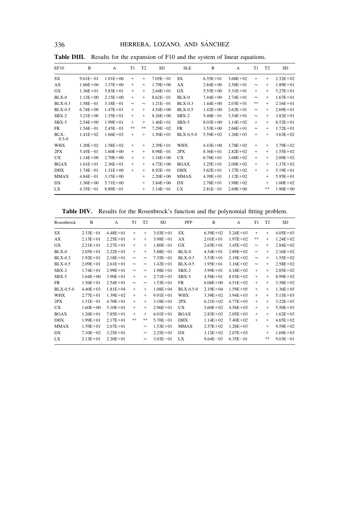336 HERRERA, LOZANO, AND SÁNCHEZ

| EF10              | B            | A            | T <sub>1</sub> | T <sub>2</sub> | <b>SD</b>    | <b>SLE</b>     | B            | A            | T <sub>1</sub> | T <sub>2</sub> | <b>SD</b>    |
|-------------------|--------------|--------------|----------------|----------------|--------------|----------------|--------------|--------------|----------------|----------------|--------------|
| SX                | $9.61E - 01$ | $1.91E + 00$ | $^{+}$         | $+$            | $7.05E - 01$ | SX             | $6.35E + 01$ | $3.68E + 02$ | $^{+}$         | $+$            | $2.32E + 02$ |
| AX                | $1.66E + 00$ | $3.37E + 00$ | $+$            | $+$            | $1.79E + 00$ | AX             | $2.84E + 00$ | $2.50E + 01$ | $\approx$      | $+$            | $1.89E + 01$ |
| <b>GX</b>         | $1.36E + 01$ | $5.83E + 01$ | $+$            | $^{+}$         | $2.64E + 01$ | GX             | $5.55E + 00$ | $5.31E + 01$ | $+$            | $+$            | $5.27E + 01$ |
| $BLX-0$           | $1.12E + 00$ | $2.15E + 00$ | $^{+}$         | $+$            | $8.62E - 01$ | BLX-0          | $7.44E + 00$ | $2.74E + 01$ | $\approx$      | $^{+}$         | $1.67E + 01$ |
| <b>BLX-0.3</b>    | $1.58E - 01$ | $3.18E - 01$ | $\approx$      | $\approx$      | $1.21E - 01$ | <b>BLX-0.3</b> | $1.44E + 00$ | $2.03E + 01$ | **             | $+$            | $2.16E + 01$ |
| <b>BLX-0.5</b>    | $6.74E + 00$ | $1.47E + 01$ | $^{+}$         | $^{+}$         | $4.54E + 00$ | <b>BLX-0.5</b> | $1.42E + 00$ | $2.62E + 01$ | $\approx$      | $+$            | $2.69E + 01$ |
| $SBX-2$           | $3.21E + 00$ | $1.35E + 01$ | $+$            | $^{+}$         | $8.26E + 00$ | $SBX-2$        | $5.40E - 01$ | $3.54E + 01$ | $\approx$      | $^{+}$         | $3.82E + 01$ |
| SBX-5             | $2.54E + 00$ | $1.99E + 01$ | $+$            | $+$            | $1.46E + 01$ | $SBX-5$        | $8.03E + 00$ | $1.14E + 02$ | $^{+}$         | $+$            | $8.52E + 01$ |
| <b>FR</b>         | $1.54E - 01$ | $2.45E - 01$ | **             | **             | $7.29E - 02$ | <b>FR</b>      | $3.53E + 00$ | $2.66E + 01$ | $\approx$      | $+$            | $1.72E + 01$ |
| BLX-<br>$0.5 - 0$ | $1.41E + 02$ | $1.66E + 02$ | $^{+}$         | $^{+}$         | $1.50E + 01$ | $BLX-0.5-0$    | $5.59E + 02$ | $1.26E + 03$ | $^{+}$         | $+$            | $3.63E + 02$ |
| <b>WHX</b>        | $1.20E + 02$ | $1.58E + 02$ | $^{+}$         | $+$            | $2.29E + 01$ | <b>WHX</b>     | $4.43E + 00$ | $3.78E + 02$ | $+$            | $+$            | $3.79E + 02$ |
| 2PX               | $5.45E - 01$ | $1.60E + 00$ | $^{+}$         | $^{+}$         | $8.98E - 01$ | 2PX            | $8.36E + 01$ | $2.82E + 02$ | $+$            | $^{+}$         | $1.55E + 02$ |
| <b>UX</b>         | $1.14E + 00$ | $2.70E + 00$ | $^{+}$         | $^{+}$         | $1.16E + 00$ | <b>UX</b>      | $6.76E + 01$ | $3.68E + 02$ | $^{+}$         | $^{+}$         | $2.00E + 02$ |
| <b>BGAX</b>       | $1.61E + 01$ | $2.36E + 01$ | $^{+}$         | $^{+}$         | $4.72E + 00$ | <b>BGAX</b>    | $3.25E + 01$ | $2.00E + 02$ | $^{+}$         | $^{+}$         | $1.37E + 02$ |
| <b>DHX</b>        | $1.74E - 01$ | $1.31E + 00$ | $^{+}$         | $^{+}$         | $8.92E - 01$ | <b>DHX</b>     | $5.62E + 01$ | $1.27E + 02$ | $+$            | $^{+}$         | $5.19E + 01$ |
| <b>MMAX</b>       | $4.84E - 01$ | $3.15E + 00$ |                | $^{+}$         | $2.20E + 00$ | <b>MMAX</b>    | $4.39E + 01$ | $1.12E + 02$ |                | $^{+}$         | $5.95E + 01$ |
| DX                | $1.36E + 00$ | $5.71E + 00$ |                | $^{+}$         | $3.84E + 00$ | DX             | $2.78E + 01$ | $1.98E + 02$ |                | $^{+}$         | $1.00E + 02$ |
| LX                | $4.35E - 01$ | $8.89E - 01$ |                | $^{+}$         | $3.14E - 01$ | LX             | $2.81E - 01$ | $2.69E + 00$ |                | **             | $1.90E + 00$ |

**Table DIII.** Results for the expansion of F10 and the system of linear equations.

**Table DIV.** Results for the Rosenbrock's function and the polynomial fitting problem.

| Rosenbrock  | B            | A            | T <sub>1</sub> | T <sub>2</sub> | <b>SD</b>    | PFP            | B            | A            | T <sub>1</sub> | T <sub>2</sub> | <b>SD</b>    |
|-------------|--------------|--------------|----------------|----------------|--------------|----------------|--------------|--------------|----------------|----------------|--------------|
| SX          | $2.33E - 01$ | $4.48E + 01$ | $+$            | $+$            | $3.03E + 01$ | SX             | $6.39E + 02$ | $5.24E + 03$ | $+$            | $+$            | $4.05E + 03$ |
| AX          | $2.13E + 01$ | $2.25E + 01$ | $+$            | $+$            | $3.98E - 01$ | AX             | $2.01E + 01$ | $1.97E + 02$ | **             | $+$            | $1.24E + 02$ |
| GX          | $2.21E + 01$ | $2.27E + 01$ | $+$            | $+$            | $1.80E - 01$ | <b>GX</b>      | $2.65E + 01$ | $3.45E + 02$ | $\approx$      | $^{+}$         | $2.84E + 02$ |
| $BLX-0$     | $2.05E + 01$ | $2.22E + 01$ | $+$            | $+$            | $5.88E - 01$ | $BLX-0$        | $4.54E + 01$ | $2.89E + 02$ | $\approx$      | $^{+}$         | $2.16E + 02$ |
| $BLX-0.3$   | $1.92E + 01$ | $2.18E + 01$ | $\approx$      | $\approx$      | $7.35E - 01$ | <b>BLX-0.3</b> | $3.53E + 01$ | $2.19E + 02$ | $\approx$      | $+$            | $1.55E + 02$ |
| $BLX-0.5$   | $2.09E + 01$ | $2.61E + 01$ | $\approx$      | $\approx$      | $1.42E + 01$ | $BLX-0.5$      | $1.95E + 01$ | $3.16E + 02$ | $\approx$      | $+$            | $2.58E + 02$ |
| $SBX-2$     | $1.74E + 01$ | $2.99E + 01$ | $\approx$      | $\approx$      | $1.98E + 01$ | $SBX-2$        | $3.99E + 01$ | $4.18E + 02$ | $+$            | $+$            | $2.85E + 02$ |
| $SBX-5$     | $1.64E + 00$ | $3.90E + 01$ | $+$            | $^{+}$         | $2.71E + 01$ | $SBX-5$        | $4.58E + 01$ | $8.03E + 02$ | $+$            | $+$            | $8.99E + 02$ |
| FR          | $1.56E + 01$ | $2.54E + 01$ | $\approx$      | $\approx$      | $1.53E + 01$ | <b>FR</b>      | $6.06E + 00$ | $4.51E + 02$ | $+$            | $^{+}$         | $3.38E + 02$ |
| $BLX-0.5-0$ | $4.40E + 03$ | $1.81E + 04$ | $+$            | $+$            | $1.08E + 04$ | $BLX-0.5-0$    | $2.19E + 04$ | $1.59E + 05$ | $+$            | $+$            | $1.36E + 05$ |
| <b>WHX</b>  | $2.77E + 01$ | $1.39E + 02$ | $+$            | $+$            | $9.91E + 01$ | <b>WHX</b>     | $3.39E + 02$ | $3.94E + 03$ | $+$            | $+$            | $5.15E + 03$ |
| 2PX         | $1.31E - 01$ | $4.70E + 01$ | $^{+}$         | $^{+}$         | $3.18E + 01$ | 2PX            | $6.21E + 02$ | $4.77E + 03$ | $^{+}$         | $^{+}$         | $3.22E + 03$ |
| UX.         | $1.60E + 00$ | $5.10E + 01$ | $+$            | $+$            | $2.96E + 01$ | <b>UX</b>      | $3.60E + 02$ | $4.56E + 03$ | $+$            | $+$            | $5.50E + 03$ |
| <b>BGAX</b> | $1.26E + 01$ | $7.85E + 01$ | $+$            | $^{+}$         | $6.01E + 01$ | <b>BGAX</b>    | $2.83E + 02$ | $2.05E + 03$ | $+$            | $^{+}$         | $1.62E + 03$ |
| <b>DHX</b>  | $1.99E + 01$ | $2.17E + 01$ | **             | **             | $5.70E - 01$ | <b>DHX</b>     | $1.14E + 02$ | $7.40E + 02$ | $+$            | $^{+}$         | $4.65E + 02$ |
| <b>MMAX</b> | $1.59E + 01$ | $2.67E + 01$ |                | $\approx$      | $1.53E + 01$ | <b>MMAX</b>    | $2.57E + 02$ | $1.28E + 03$ |                | $+$            | $9.59E + 02$ |
| DX          | $7.10E - 02$ | $3.25E + 01$ |                | $\approx$      | $2.25E + 01$ | DX             | $3.12E + 02$ | $2.07E + 03$ |                | $^{+}$         | $1.69E + 03$ |
| LX          | $2.13E + 01$ | $2.20E + 01$ |                | $\approx$      | $3.03E - 01$ | LX             | $9.64E - 03$ | $6.35E - 01$ |                | **             | $9.03E - 01$ |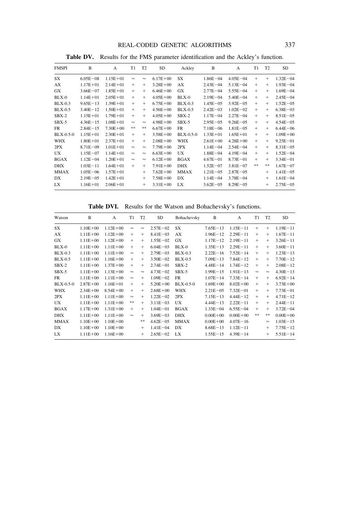#### REAL-CODED GENETIC ALGORITHMS 337

| <b>FMSPI</b>   | B            | A            | T1        | T <sub>2</sub> | <b>SD</b>    | Ackley      | B            | A             | T1  | T <sub>2</sub> | <b>SD</b>    |
|----------------|--------------|--------------|-----------|----------------|--------------|-------------|--------------|---------------|-----|----------------|--------------|
| SX             | $6.05E - 08$ | $1.15E + 01$ | $\approx$ | $\approx$      | $6.17E + 00$ | SX          | $1.86E - 04$ | $4.05E - 04$  | $+$ | $+$            | $1.32E - 04$ |
| AX             | $1.17E + 01$ | $2.14E + 01$ | $+$       | $+$            | $3.28E + 00$ | AX          | $2.43E - 04$ | $5.13E - 04$  | $+$ | $+$            | $1.93E - 04$ |
| <b>GX</b>      | $3.66E - 07$ | $1.85E + 01$ | $+$       | $+$            | $6.46E + 00$ | <b>GX</b>   | $2.77E - 04$ | $5.55E - 04$  | $+$ | $+$            | $1.69E - 04$ |
| $BLX-0$        | $1.14E + 01$ | $2.05E + 01$ | $+$       | $+$            | $4.05E + 00$ | $BLX-0$     | $2.19E - 04$ | $5.40E - 04$  | $+$ | $+$            | $2.45E - 04$ |
| $BLX-0.3$      | $9.65E - 13$ | $1.39E + 01$ | $+$       | $+$            | $6.75E + 00$ | $BLX-0.3$   | $1.45E - 05$ | $3.92E - 05$  | $+$ | $+$            | $1.52E - 05$ |
| <b>BLX-0.5</b> | $3.40E - 12$ | $1.50E + 01$ | $+$       | $+$            | $4.56E + 00$ | $BLX-0.5$   | $2.42E - 03$ | $1.02E - 02$  | $+$ | $+$            | $6.38E - 03$ |
| $SBX-2$        | $1.15E + 01$ | $1.79E + 01$ | $+$       | $+$            | $4.05E + 00$ | $SBX-2$     | $1.17E - 04$ | $2.27E - 04$  | $+$ | $+$            | $8.51E - 05$ |
| $SBX-5$        | $4.36E - 15$ | $1.08E + 01$ | $\approx$ | $\approx$      | $4.98E + 00$ | $SBX-5$     | $2.95E - 05$ | $9.26E - 05$  | $+$ | $+$            | $4.54E - 05$ |
| <b>FR</b>      | $2.84E - 15$ | $7.30E + 00$ | **        | **             | $6.67E + 00$ | <b>FR</b>   | $7.18E - 06$ | $1.81E - 0.5$ | $+$ | $+$            | $6.44E - 06$ |
| $BLX-0.5-0$    | $1.15E + 01$ | $2.30E + 01$ | $+$       | $+$            | $3.58E + 00$ | $BLX-0.5-0$ | $1.33E + 01$ | $1.65E + 01$  | $+$ | $+$            | $1.09E + 00$ |
| <b>WHX</b>     | $1.80E + 01$ | $2.37E + 01$ | $+$       | $+$            | $2.08E + 00$ | <b>WHX</b>  | $2.61E + 00$ | $4.28E + 00$  | $+$ | $+$            | $9.25E - 01$ |
| 2PX            | $8.71E - 09$ | $1.01E + 01$ | $\approx$ | $\approx$      | $7.79E + 00$ | 2PX         | $1.14E - 04$ | $2.54E - 04$  | $+$ | $+$            | $8.31E - 05$ |
| <b>UX</b>      | $1.15E - 07$ | $1.14E + 01$ | $\approx$ | $\approx$      | $6.63E + 00$ | UX.         | $1.88E - 04$ | $4.19E - 04$  | $+$ | $+$            | $1.52E - 04$ |
| <b>BGAX</b>    | $1.12E - 04$ | $1.20E + 01$ | $\approx$ | $\approx$      | $6.12E + 00$ | <b>BGAX</b> | $4.67E - 01$ | $8.73E - 01$  | $+$ | $+$            | $3.34E - 01$ |
| <b>DHX</b>     | $1.03E - 11$ | $1.64E + 01$ | $+$       | $+$            | $7.91E + 00$ | <b>DHX</b>  | $1.52E - 07$ | $3.81E - 07$  | **  | **             | $1.67E - 07$ |
| <b>MMAX</b>    | $1.05E - 06$ | $1.57E + 01$ |           | $+$            | $7.62E + 00$ | <b>MMAX</b> | $1.21E - 05$ | $2.87E - 0.5$ |     | $+$            | $1.41E - 05$ |
| DX             | $2.19E - 05$ | $1.42E + 01$ |           | $+$            | $7.58E + 00$ | DX          | $1.14E - 04$ | $3.78E - 04$  |     | $+$            | $1.61E - 04$ |
| LX             | $1.16E + 01$ | $2.06E + 01$ |           | $^{+}$         | $3.31E + 00$ | LX          | $3.62E - 05$ | $8.29E - 05$  |     | $^{+}$         | $2.75E - 05$ |
|                |              |              |           |                |              |             |              |               |     |                |              |

**Table DV.** Results for the FMS parameter identification and the Ackley's function.

**Table DVI.** Results for the Watson and Bohachevsky's functions.

| Watson      | B            | A            | T1        | T <sub>2</sub> | <b>SD</b>    | Bohachevsky | B            | A            | T <sub>1</sub> | T <sub>2</sub> | <b>SD</b>    |
|-------------|--------------|--------------|-----------|----------------|--------------|-------------|--------------|--------------|----------------|----------------|--------------|
| SX          | $1.10E + 00$ | $1.12E + 00$ | $\approx$ | $\approx$      | $2.57E - 02$ | <b>SX</b>   | $7.65E - 13$ | $1.15E - 11$ | $+$            | $+$            | $1.19E - 11$ |
| AX          | $1.11E + 00$ | $1.12E + 00$ | $+$       | $+$            | $8.41E - 03$ | AX          | $1.96E - 12$ | $2.29E - 11$ | $+$            | $+$            | $1.67E - 11$ |
| <b>GX</b>   | $1.11E + 00$ | $1.12E + 00$ | $+$       | $+$            | $1.55E - 02$ | <b>GX</b>   | $1.17E - 12$ | $2.19E - 11$ | $+$            | $+$            | $3.26E - 11$ |
| $BLX-0$     | $1.11E + 00$ | $1.11E + 00$ | $+$       | $+$            | $6.04E - 03$ | $BLX-0$     | $1.35E - 13$ | $2.29E - 11$ | $+$            | $+$            | $3.60E - 11$ |
| $BLX-0.3$   | $1.11E + 00$ | $1.11E + 00$ | $\approx$ | $+$            | $2.79E - 03$ | $BLX-0.3$   | $2.22E - 16$ | $7.52E - 14$ | $+$            | $+$            | $1.23E - 13$ |
| $BLX-0.5$   | $1.11E + 00$ | $1.16E + 00$ | $+$       | $+$            | $3.50E - 02$ | $BLX-0.5$   | $7.09E - 13$ | $7.84E - 12$ | $+$            | $+$            | $7.70E - 12$ |
| $SBX-2$     | $1.11E + 00$ | $1.37E + 00$ | $+$       | $+$            | $2.74E - 01$ | $SBX-2$     | $4.48E - 14$ | $1.74E - 12$ | $+$            | $+$            | $2.08E - 12$ |
| $SBX-5$     | $1.11E + 00$ | $1.13E + 00$ | $\approx$ | $\approx$      | $4.73E - 02$ | $SBX-5$     | $1.99E - 15$ | $1.91E - 13$ | $\approx$      | $\approx$      | $4.30E - 13$ |
| <b>FR</b>   | $1.11E + 00$ | $1.11E + 00$ | $\approx$ | $+$            | $1.09E - 02$ | <b>FR</b>   | $1.07E - 14$ | $7.33E - 14$ | $+$            | $+$            | $6.92E - 14$ |
| $BLX-0.5-0$ | $2.87E + 00$ | $1.16E + 01$ | $+$       | $+$            | $5.20E + 00$ | $BLX-0.5-0$ | $1.69E + 00$ | $8.02E + 00$ | $+$            | $+$            | $3.73E + 00$ |
| <b>WHX</b>  | $2.34E + 00$ | $8.54E + 00$ | $+$       | $+$            | $2.68E + 00$ | <b>WHX</b>  | $2.21E - 05$ | $7.32E - 01$ | $+$            | $+$            | $7.73E - 01$ |
| 2PX         | $1.11E + 00$ | $1.11E + 00$ | $\approx$ | $+$            | $1.22E - 02$ | 2PX         | $7.15E - 13$ | $4.44E - 12$ | $+$            | $+$            | $4.71E - 12$ |
| UX          | $1.11E + 00$ | $1.11E + 00$ | **        | $+$            | $3.11E - 03$ | <b>UX</b>   | $4.44E - 13$ | $2.22E - 11$ | $+$            | $+$            | $2.44E - 11$ |
| <b>BGAX</b> | $1.17E + 00$ | $1.31E + 00$ | $+$       | $+$            | $1.04E - 01$ | <b>BGAX</b> | $1.33E - 04$ | $6.55E - 04$ | $+$            | $+$            | $3.72E - 04$ |
| <b>DHX</b>  | $1.11E + 00$ | $1.11E + 00$ | $\approx$ | $+$            | $3.69E - 03$ | <b>DHX</b>  | $0.00E + 00$ | $0.00E + 00$ | **             | **             | $0.00E + 00$ |
| <b>MMAX</b> | $1.10E + 00$ | $1.10E + 00$ |           | **             | $4.62E - 05$ | <b>MMAX</b> | $0.00E + 00$ | $4.07E - 16$ |                | $\approx$      | $1.03E - 15$ |
| DX          | $1.10E + 00$ | $1.10E + 00$ |           | $^{+}$         | $1.41E - 04$ | DX          | $8.68E - 13$ | $1.12E - 11$ |                | $^{+}$         | $7.75E - 12$ |
| LX          | $1.11E + 00$ | $1.16E + 00$ |           | $+$            | $2.65E - 02$ | LX          | $1.55E - 15$ | $4.39E - 14$ |                | $+$            | $5.51E - 14$ |